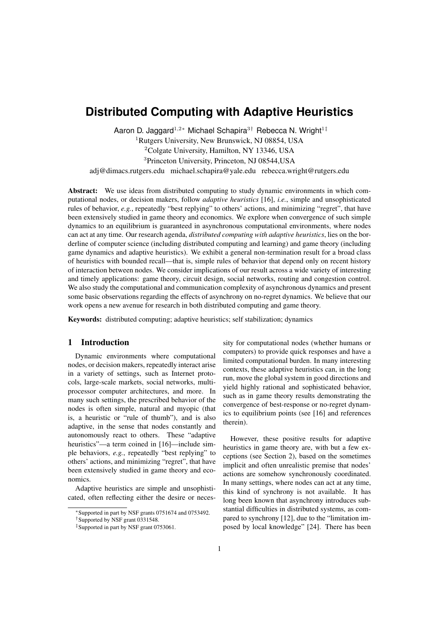# **Distributed Computing with Adaptive Heuristics**

Aaron D. Jaggard<sup>1,2</sup>\* Michael Schapira<sup>3†</sup> Rebecca N. Wright<sup>1‡</sup>

<sup>1</sup>Rutgers University, New Brunswick, NJ 08854, USA

<sup>2</sup>Colgate University, Hamilton, NY 13346, USA

<sup>3</sup>Princeton University, Princeton, NJ 08544,USA

adj@dimacs.rutgers.edu michael.schapira@yale.edu rebecca.wright@rutgers.edu

Abstract: We use ideas from distributed computing to study dynamic environments in which computational nodes, or decision makers, follow *adaptive heuristics* [16], *i.e.*, simple and unsophisticated rules of behavior, *e.g.*, repeatedly "best replying" to others' actions, and minimizing "regret", that have been extensively studied in game theory and economics. We explore when convergence of such simple dynamics to an equilibrium is guaranteed in asynchronous computational environments, where nodes can act at any time. Our research agenda, *distributed computing with adaptive heuristics*, lies on the borderline of computer science (including distributed computing and learning) and game theory (including game dynamics and adaptive heuristics). We exhibit a general non-termination result for a broad class of heuristics with bounded recall—that is, simple rules of behavior that depend only on recent history of interaction between nodes. We consider implications of our result across a wide variety of interesting and timely applications: game theory, circuit design, social networks, routing and congestion control. We also study the computational and communication complexity of asynchronous dynamics and present some basic observations regarding the effects of asynchrony on no-regret dynamics. We believe that our work opens a new avenue for research in both distributed computing and game theory.

Keywords: distributed computing; adaptive heuristics; self stabilization; dynamics

## 1 Introduction

Dynamic environments where computational nodes, or decision makers, repeatedly interact arise in a variety of settings, such as Internet protocols, large-scale markets, social networks, multiprocessor computer architectures, and more. In many such settings, the prescribed behavior of the nodes is often simple, natural and myopic (that is, a heuristic or "rule of thumb"), and is also adaptive, in the sense that nodes constantly and autonomously react to others. These "adaptive heuristics"—a term coined in [16]—include simple behaviors, *e.g.*, repeatedly "best replying" to others' actions, and minimizing "regret", that have been extensively studied in game theory and economics.

Adaptive heuristics are simple and unsophisticated, often reflecting either the desire or necessity for computational nodes (whether humans or computers) to provide quick responses and have a limited computational burden. In many interesting contexts, these adaptive heuristics can, in the long run, move the global system in good directions and yield highly rational and sophisticated behavior, such as in game theory results demonstrating the convergence of best-response or no-regret dynamics to equilibrium points (see [16] and references therein).

However, these positive results for adaptive heuristics in game theory are, with but a few exceptions (see Section 2), based on the sometimes implicit and often unrealistic premise that nodes' actions are somehow synchronously coordinated. In many settings, where nodes can act at any time, this kind of synchrony is not available. It has long been known that asynchrony introduces substantial difficulties in distributed systems, as compared to synchrony [12], due to the "limitation imposed by local knowledge" [24]. There has been

<sup>∗</sup>Supported in part by NSF grants 0751674 and 0753492.

<sup>†</sup>Supported by NSF grant 0331548.

<sup>‡</sup>Supported in part by NSF grant 0753061.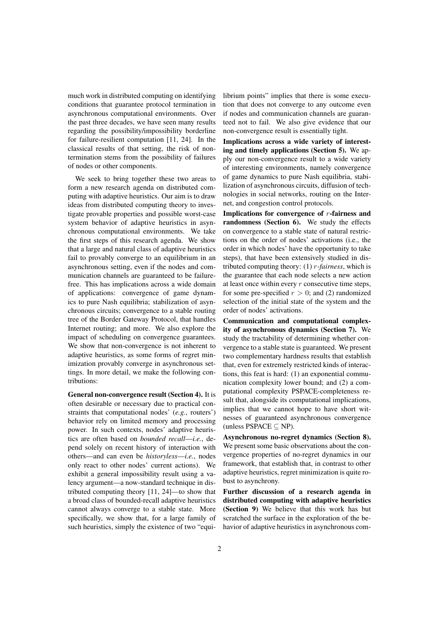much work in distributed computing on identifying conditions that guarantee protocol termination in asynchronous computational environments. Over the past three decades, we have seen many results regarding the possibility/impossibility borderline for failure-resilient computation [11, 24]. In the classical results of that setting, the risk of nontermination stems from the possibility of failures of nodes or other components.

We seek to bring together these two areas to form a new research agenda on distributed computing with adaptive heuristics. Our aim is to draw ideas from distributed computing theory to investigate provable properties and possible worst-case system behavior of adaptive heuristics in asynchronous computational environments. We take the first steps of this research agenda. We show that a large and natural class of adaptive heuristics fail to provably converge to an equilibrium in an asynchronous setting, even if the nodes and communication channels are guaranteed to be failurefree. This has implications across a wide domain of applications: convergence of game dynamics to pure Nash equilibria; stabilization of asynchronous circuits; convergence to a stable routing tree of the Border Gateway Protocol, that handles Internet routing; and more. We also explore the impact of scheduling on convergence guarantees. We show that non-convergence is not inherent to adaptive heuristics, as some forms of regret minimization provably converge in asynchronous settings. In more detail, we make the following contributions:

General non-convergence result (Section 4). It is often desirable or necessary due to practical constraints that computational nodes' (*e.g.*, routers') behavior rely on limited memory and processing power. In such contexts, nodes' adaptive heuristics are often based on *bounded recall*—*i.e.*, depend solely on recent history of interaction with others—and can even be *historyless*—*i.e.*, nodes only react to other nodes' current actions). We exhibit a general impossibility result using a valency argument—a now-standard technique in distributed computing theory [11, 24]—to show that a broad class of bounded-recall adaptive heuristics cannot always converge to a stable state. More specifically, we show that, for a large family of such heuristics, simply the existence of two "equilibrium points" implies that there is some execution that does not converge to any outcome even if nodes and communication channels are guaranteed not to fail. We also give evidence that our non-convergence result is essentially tight.

Implications across a wide variety of interesting and timely applications (Section 5). We apply our non-convergence result to a wide variety of interesting environments, namely convergence of game dynamics to pure Nash equilibria, stabilization of asynchronous circuits, diffusion of technologies in social networks, routing on the Internet, and congestion control protocols.

Implications for convergence of  $r$ -fairness and randomness (Section 6). We study the effects on convergence to a stable state of natural restrictions on the order of nodes' activations (i.e., the order in which nodes' have the opportunity to take steps), that have been extensively studied in distributed computing theory: (1) r*-fairness*, which is the guarantee that each node selects a new action at least once within every  $r$  consecutive time steps, for some pre-specified  $r > 0$ ; and (2) randomized selection of the initial state of the system and the order of nodes' activations.

Communication and computational complexity of asynchronous dynamics (Section 7). We study the tractability of determining whether convergence to a stable state is guaranteed. We present two complementary hardness results that establish that, even for extremely restricted kinds of interactions, this feat is hard: (1) an exponential communication complexity lower bound; and (2) a computational complexity PSPACE-completeness result that, alongside its computational implications, implies that we cannot hope to have short witnesses of guaranteed asynchronous convergence (unless PSPACE  $\subseteq$  NP).

Asynchronous no-regret dynamics (Section 8). We present some basic observations about the convergence properties of no-regret dynamics in our framework, that establish that, in contrast to other adaptive heuristics, regret minimization is quite robust to asynchrony.

Further discussion of a research agenda in distributed computing with adaptive heuristics (Section 9) We believe that this work has but scratched the surface in the exploration of the behavior of adaptive heuristics in asynchronous com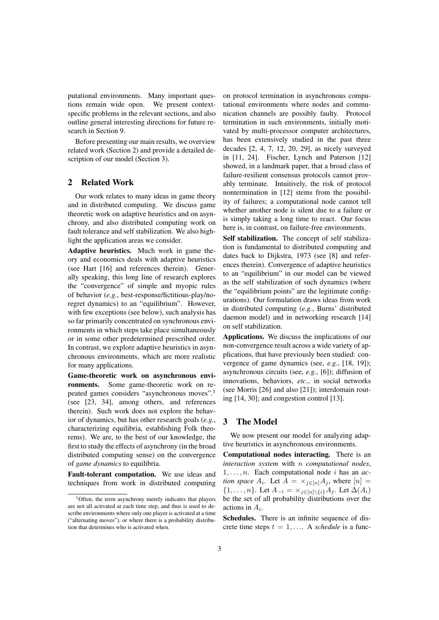putational environments. Many important questions remain wide open. We present contextspecific problems in the relevant sections, and also outline general interesting directions for future research in Section 9.

Before presenting our main results, we overview related work (Section 2) and provide a detailed description of our model (Section 3).

# 2 Related Work

Our work relates to many ideas in game theory and in distributed computing. We discuss game theoretic work on adaptive heuristics and on asynchrony, and also distributed computing work on fault tolerance and self stabilization. We also highlight the application areas we consider.

Adaptive heuristics. Much work in game theory and economics deals with adaptive heuristics (see Hart [16] and references therein). Generally speaking, this long line of research explores the "convergence" of simple and myopic rules of behavior (*e.g.*, best-response/fictitious-play/noregret dynamics) to an "equilibrium". However, with few exceptions (see below), such analysis has so far primarily concentrated on synchronous environments in which steps take place simultaneously or in some other predetermined prescribed order. In contrast, we explore adaptive heuristics in asynchronous environments, which are more realistic for many applications.

Game-theoretic work on asynchronous environments. Some game-theoretic work on repeated games considers "asynchronous moves".<sup>1</sup> (see [23, 34], among others, and references therein). Such work does not explore the behavior of dynamics, but has other research goals (*e.g.*, characterizing equilibria, establishing Folk theorems). We are, to the best of our knowledge, the first to study the effects of asynchrony (in the broad distributed computing sense) on the convergence of *game dynamics* to equilibria.

Fault-tolerant computation. We use ideas and techniques from work in distributed computing on protocol termination in asynchronous computational environments where nodes and communication channels are possibly faulty. Protocol termination in such environments, initially motivated by multi-processor computer architectures, has been extensively studied in the past three decades [2, 4, 7, 12, 20, 29], as nicely surveyed in [11, 24]. Fischer, Lynch and Paterson [12] showed, in a landmark paper, that a broad class of failure-resilient consensus protocols cannot provably terminate. Intuitively, the risk of protocol nontermination in [12] stems from the possibility of failures; a computational node cannot tell whether another node is silent due to a failure or is simply taking a long time to react. Our focus here is, in contrast, on failure-free environments.

Self stabilization. The concept of self stabilization is fundamental to distributed computing and dates back to Dijkstra, 1973 (see [8] and references therein). Convergence of adaptive heuristics to an "equilibrium" in our model can be viewed as the self stabilization of such dynamics (where the "equilibrium points" are the legitimate configurations). Our formulation draws ideas from work in distributed computing (*e.g.*, Burns' distributed daemon model) and in networking research [14] on self stabilization.

Applications. We discuss the implications of our non-convergence result across a wide variety of applications, that have previously been studied: convergence of game dynamics (see, *e.g.*, [18, 19]); asynchronous circuits (see, *e.g.*, [6]); diffusion of innovations, behaviors, *etc*., in social networks (see Morris [26] and also [21]); interdomain routing [14, 30]; and congestion control [13].

# 3 The Model

We now present our model for analyzing adaptive heuristics in asynchronous environments.

Computational nodes interacting. There is an *interaction system* with n *computational nodes*,  $1, \ldots, n$ . Each computational node *i* has an *action space*  $A_i$ . Let  $A = \times_{j \in [n]} A_j$ , where  $[n] =$  $\{1, \ldots, n\}$ . Let  $A_{-i} = \times_{j \in [n] \setminus \{i\}} A_j$ . Let  $\Delta(A_i)$ be the set of all probability distributions over the actions in  $A_i$ .

Schedules. There is an infinite sequence of discrete time steps  $t = 1, \ldots$ . A *schedule* is a func-

<sup>&</sup>lt;sup>1</sup>Often, the term asynchrony merely indicates that players are not all activated at each time step, and thus is used to describe environments where only one player is activated at a time ("alternating moves"), or where there is a probability distribution that determines who is activated when.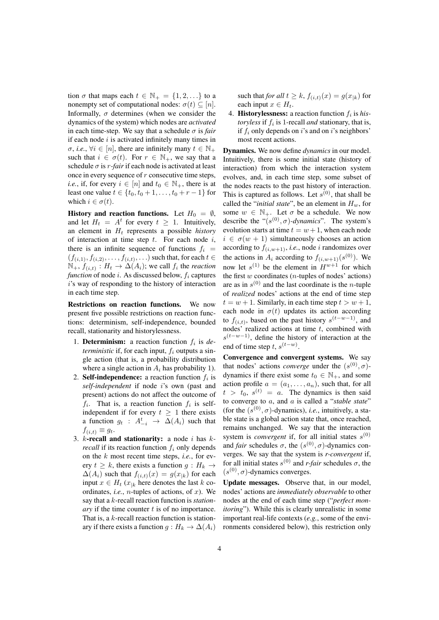tion  $\sigma$  that maps each  $t \in \mathbb{N}_+ = \{1, 2, ...\}$  to a nonempty set of computational nodes:  $\sigma(t) \subseteq [n]$ . Informally,  $\sigma$  determines (when we consider the dynamics of the system) which nodes are *activated* in each time-step. We say that a schedule  $\sigma$  is *fair* if each node  $i$  is activated infinitely many times in  $\sigma$ , *i.e.*,  $\forall i \in [n]$ , there are infinitely many  $t \in \mathbb{N}_+$ such that  $i \in \sigma(t)$ . For  $r \in \mathbb{N}_+$ , we say that a schedule  $\sigma$  is *r*-fair if each node is activated at least once in every sequence of  $r$  consecutive time steps. *i.e.*, if, for every  $i \in [n]$  and  $t_0 \in \mathbb{N}_+$ , there is at least one value  $t \in \{t_0, t_0 + 1, \ldots, t_0 + r - 1\}$  for which  $i \in \sigma(t)$ .

History and reaction functions. Let  $H_0 = \emptyset$ , and let  $H_t = A^t$  for every  $t \geq 1$ . Intuitively, an element in  $H_t$  represents a possible *history* of interaction at time step  $t$ . For each node  $i$ , there is an infinite sequence of functions  $f_i$  =  $(f_{(i,1)}, f_{(i,2)}, \ldots, f_{(i,t)}, \ldots)$  such that, for each  $t \in$  $\mathbb{N}_+$ ,  $f_{(i,t)}$ :  $H_t \to \Delta(A_i)$ ; we call  $f_i$  the *reaction function* of node *i*. As discussed below,  $f_i$  captures i's way of responding to the history of interaction in each time step.

Restrictions on reaction functions. We now present five possible restrictions on reaction functions: determinism, self-independence, bounded recall, stationarity and historylessness.

- 1. **Determinism:** a reaction function  $f_i$  is de*terministic* if, for each input,  $f_i$  outputs a single action (that is, a probability distribution where a single action in  $A_i$  has probability 1).
- 2. Self-independence: a reaction function  $f_i$  is *self-independent* if node i's own (past and present) actions do not affect the outcome of  $f_i$ . That is, a reaction function  $f_i$  is selfindependent if for every  $t \geq 1$  there exists a function  $g_t$  :  $A_{-i}^t \rightarrow \Delta(A_i)$  such that  $f_{(i,t)} \equiv g_t.$
- 3. k-recall and stationarity: a node i has k*recall* if its reaction function  $f_i$  only depends on the k most recent time steps, *i.e.*, for every  $t \geq k$ , there exists a function  $q : H_k \to$  $\Delta(A_i)$  such that  $f(i,t)(x) = g(x_{ik})$  for each input  $x \in H_t$  ( $x_{|k}$  here denotes the last k coordinates, *i.e.*, *n*-tuples of actions, of  $x$ ). We say that a k-recall reaction function is *stationary* if the time counter t is of no importance. That is, a k-recall reaction function is stationary if there exists a function  $g : H_k \to \Delta(A_i)$

such that *for all*  $t \geq k$ ,  $f(i, t)(x) = g(x_{k})$  for each input  $x \in H_t$ .

4. **Historylessness:** a reaction function  $f_i$  is his*toryless* if  $f_i$  is 1-recall *and* stationary, that is, if  $f_i$  only depends on i's and on i's neighbors' most recent actions.

Dynamics. We now define *dynamics* in our model. Intuitively, there is some initial state (history of interaction) from which the interaction system evolves, and, in each time step, some subset of the nodes reacts to the past history of interaction. This is captured as follows. Let  $s^{(0)}$ , that shall be called the "*initial state*", be an element in  $H_w$ , for some  $w \in \mathbb{N}_+$ . Let  $\sigma$  be a schedule. We now describe the " $(s^{(0)}, \sigma)$ -dynamics". The system's evolution starts at time  $t = w + 1$ , when each node  $i \in \sigma(w+1)$  simultaneously chooses an action according to  $f_{(i,w+1)}$ , *i.e.*, node *i* randomizes over the actions in  $A_i$  according to  $f_{(i,w+1)}(s^{(0)})$ . We now let  $s^{(1)}$  be the element in  $H^{w+1}$  for which the first  $w$  coordinates (*n*-tuples of nodes' actions) are as in  $s^{(0)}$  and the last coordinate is the *n*-tuple of *realized* nodes' actions at the end of time step  $t = w + 1$ . Similarly, in each time step  $t > w + 1$ , each node in  $\sigma(t)$  updates its action according to  $f_{(i,t)}$ , based on the past history  $s^{(t-w-1)}$ , and nodes' realized actions at time  $t$ , combined with  $s^{(t-w-1)}$ , define the history of interaction at the end of time step t,  $s^{(t-w)}$ .

Convergence and convergent systems. We say that nodes' actions *converge* under the  $(s^{(0)}, \sigma)$ dynamics if there exist some  $t_0 \in \mathbb{N}_+$ , and some action profile  $a = (a_1, \ldots, a_n)$ , such that, for all  $t > t_0$ ,  $s^{(t)} = a$ . The dynamics is then said to converge to a, and a is called a "*stable state*" (for the  $(s^{(0)}, \sigma)$ -dynamics), *i.e.*, intuitively, a stable state is a global action state that, once reached, remains unchanged. We say that the interaction system is *convergent* if, for all initial states  $s^{(0)}$ and *fair* schedules  $\sigma$ , the  $(s^{(0)}, \sigma)$ -dynamics converges. We say that the system is *r-convergent* if, for all initial states  $s^{(0)}$  and *r*-fair schedules  $\sigma$ , the  $(s^{(0)}, \sigma)$ -dynamics converges.

Update messages. Observe that, in our model, nodes' actions are *immediately observable* to other nodes at the end of each time step ("*perfect monitoring*"). While this is clearly unrealistic in some important real-life contexts (*e.g.*, some of the environments considered below), this restriction only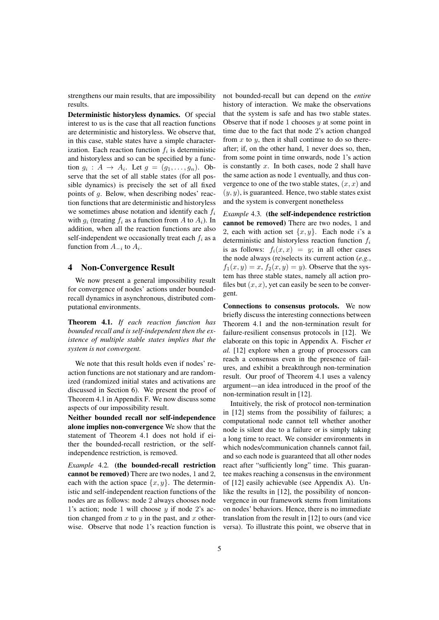strengthens our main results, that are impossibility results.

Deterministic historyless dynamics. Of special interest to us is the case that all reaction functions are deterministic and historyless. We observe that, in this case, stable states have a simple characterization. Each reaction function  $f_i$  is deterministic and historyless and so can be specified by a function  $g_i: A \rightarrow A_i$ . Let  $g = (g_1, \ldots, g_n)$ . Observe that the set of all stable states (for all possible dynamics) is precisely the set of all fixed points of g. Below, when describing nodes' reaction functions that are deterministic and historyless we sometimes abuse notation and identify each  $f_i$ with  $q_i$  (treating  $f_i$  as a function from A to  $A_i$ ). In addition, when all the reaction functions are also self-independent we occasionally treat each  $f_i$  as a function from  $A_{-i}$  to  $A_i$ .

#### 4 Non-Convergence Result

We now present a general impossibility result for convergence of nodes' actions under boundedrecall dynamics in asynchronous, distributed computational environments.

Theorem 4.1. *If each reaction function has bounded recall and is self-independent then the existence of multiple stable states implies that the system is not convergent.*

We note that this result holds even if nodes' reaction functions are not stationary and are randomized (randomized initial states and activations are discussed in Section 6). We present the proof of Theorem 4.1 in Appendix F. We now discuss some aspects of our impossibility result.

Neither bounded recall nor self-independence alone implies non-convergence We show that the statement of Theorem 4.1 does not hold if either the bounded-recall restriction, or the selfindependence restriction, is removed.

*Example* 4.2*.* (the bounded-recall restriction cannot be removed) There are two nodes, 1 and 2, each with the action space  $\{x, y\}$ . The deterministic and self-independent reaction functions of the nodes are as follows: node 2 always chooses node 1's action; node 1 will choose  $y$  if node 2's action changed from  $x$  to  $y$  in the past, and  $x$  otherwise. Observe that node 1's reaction function is not bounded-recall but can depend on the *entire* history of interaction. We make the observations that the system is safe and has two stable states. Observe that if node 1 chooses  $y$  at some point in time due to the fact that node 2's action changed from  $x$  to  $y$ , then it shall continue to do so thereafter; if, on the other hand, 1 never does so, then, from some point in time onwards, node 1's action is constantly  $x$ . In both cases, node 2 shall have the same action as node 1 eventually, and thus convergence to one of the two stable states,  $(x, x)$  and  $(y, y)$ , is guaranteed. Hence, two stable states exist and the system is convergent nonetheless

*Example* 4.3*.* (the self-independence restriction cannot be removed) There are two nodes, 1 and 2, each with action set  $\{x, y\}$ . Each node *i*'s a deterministic and historyless reaction function  $f_i$ is as follows:  $f_i(x, x) = y$ ; in all other cases the node always (re)selects its current action (*e.g.*,  $f_1(x, y) = x$ ,  $f_2(x, y) = y$ ). Observe that the system has three stable states, namely all action profiles but  $(x, x)$ , yet can easily be seen to be convergent.

Connections to consensus protocols. We now briefly discuss the interesting connections between Theorem 4.1 and the non-termination result for failure-resilient consensus protocols in [12]. We elaborate on this topic in Appendix A. Fischer *et al.* [12] explore when a group of processors can reach a consensus even in the presence of failures, and exhibit a breakthrough non-termination result. Our proof of Theorem 4.1 uses a valency argument—an idea introduced in the proof of the non-termination result in [12].

Intuitively, the risk of protocol non-termination in [12] stems from the possibility of failures; a computational node cannot tell whether another node is silent due to a failure or is simply taking a long time to react. We consider environments in which nodes/communication channels cannot fail, and so each node is guaranteed that all other nodes react after "sufficiently long" time. This guarantee makes reaching a consensus in the environment of [12] easily achievable (see Appendix A). Unlike the results in [12], the possibility of nonconvergence in our framework stems from limitations on nodes' behaviors. Hence, there is no immediate translation from the result in [12] to ours (and vice versa). To illustrate this point, we observe that in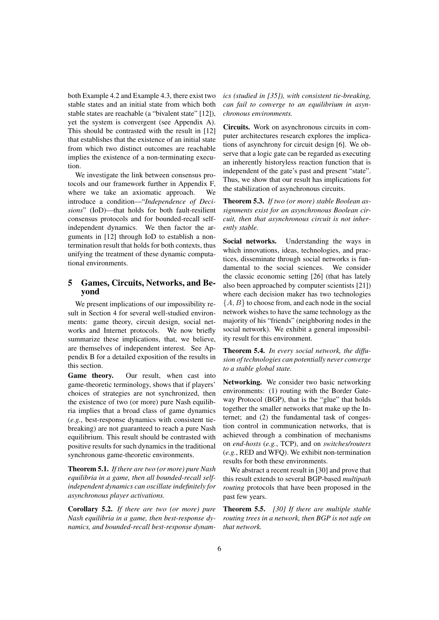both Example 4.2 and Example 4.3, there exist two stable states and an initial state from which both stable states are reachable (a "bivalent state" [12]), yet the system is convergent (see Appendix A). This should be contrasted with the result in [12] that establishes that the existence of an initial state from which two distinct outcomes are reachable implies the existence of a non-terminating execution.

We investigate the link between consensus protocols and our framework further in Appendix F, where we take an axiomatic approach. We introduce a condition—"*Independence of Decisions*" (IoD)—that holds for both fault-resilient consensus protocols and for bounded-recall selfindependent dynamics. We then factor the arguments in [12] through IoD to establish a nontermination result that holds for both contexts, thus unifying the treatment of these dynamic computational environments.

# 5 Games, Circuits, Networks, and Beyond

We present implications of our impossibility result in Section 4 for several well-studied environments: game theory, circuit design, social networks and Internet protocols. We now briefly summarize these implications, that, we believe, are themselves of independent interest. See Appendix B for a detailed exposition of the results in this section.

Game theory. Our result, when cast into game-theoretic terminology, shows that if players' choices of strategies are not synchronized, then the existence of two (or more) pure Nash equilibria implies that a broad class of game dynamics (*e.g.*, best-response dynamics with consistent tiebreaking) are not guaranteed to reach a pure Nash equilibrium. This result should be contrasted with positive results for such dynamics in the traditional synchronous game-theoretic environments.

Theorem 5.1. *If there are two (or more) pure Nash equilibria in a game, then all bounded-recall selfindependent dynamics can oscillate indefinitely for asynchronous player activations.*

Corollary 5.2. *If there are two (or more) pure Nash equilibria in a game, then best-response dynamics, and bounded-recall best-response dynam-* *ics (studied in [35]), with consistent tie-breaking, can fail to converge to an equilibrium in asynchronous environments.*

Circuits. Work on asynchronous circuits in computer architectures research explores the implications of asynchrony for circuit design [6]. We observe that a logic gate can be regarded as executing an inherently historyless reaction function that is independent of the gate's past and present "state". Thus, we show that our result has implications for the stabilization of asynchronous circuits.

Theorem 5.3. *If two (or more) stable Boolean assignments exist for an asynchronous Boolean circuit, then that asynchronous circuit is not inherently stable.*

Social networks. Understanding the ways in which innovations, ideas, technologies, and practices, disseminate through social networks is fundamental to the social sciences. We consider the classic economic setting [26] (that has lately also been approached by computer scientists [21]) where each decision maker has two technologies  ${A, B}$  to choose from, and each node in the social network wishes to have the same technology as the majority of his "friends" (neighboring nodes in the social network). We exhibit a general impossibility result for this environment.

Theorem 5.4. *In every social network, the diffusion of technologies can potentially never converge to a stable global state.*

Networking. We consider two basic networking environments: (1) routing with the Border Gateway Protocol (BGP), that is the "glue" that holds together the smaller networks that make up the Internet; and (2) the fundamental task of congestion control in communication networks, that is achieved through a combination of mechanisms on *end-hosts* (*e.g.*, TCP), and on *switches/routers* (*e.g.*, RED and WFQ). We exhibit non-termination results for both these environments.

We abstract a recent result in [30] and prove that this result extends to several BGP-based *multipath routing* protocols that have been proposed in the past few years.

Theorem 5.5. *[30] If there are multiple stable routing trees in a network, then BGP is not safe on that network.*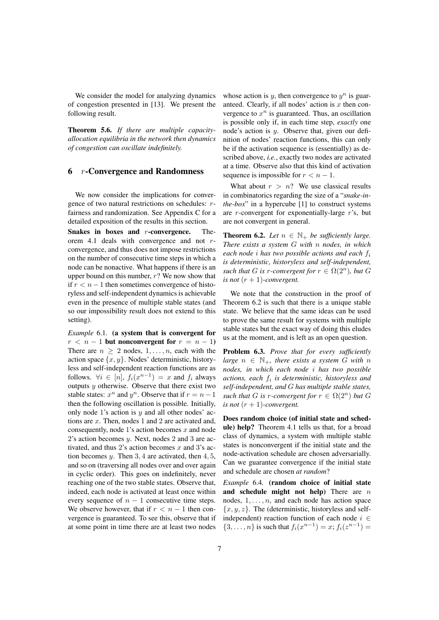We consider the model for analyzing dynamics of congestion presented in [13]. We present the following result.

Theorem 5.6. *If there are multiple capacityallocation equilibria in the network then dynamics of congestion can oscillate indefinitely.*

## 6 r-Convergence and Randomness

We now consider the implications for convergence of two natural restrictions on schedules: rfairness and randomization. See Appendix C for a detailed exposition of the results in this section.

Snakes in boxes and r-convergence. Theorem 4.1 deals with convergence and not rconvergence, and thus does not impose restrictions on the number of consecutive time steps in which a node can be nonactive. What happens if there is an upper bound on this number,  $r$ ? We now show that if  $r < n − 1$  then sometimes convergence of historyless and self-independent dynamics is achievable even in the presence of multiple stable states (and so our impossibility result does not extend to this setting).

*Example* 6.1*.* (a system that is convergent for  $r < n - 1$  but nonconvergent for  $r = n - 1$ ) There are  $n > 2$  nodes,  $1, \ldots, n$ , each with the action space  $\{x, y\}$ . Nodes' deterministic, historyless and self-independent reaction functions are as follows.  $\forall i \in [n]$ ,  $f_i(x^{n-1}) = x$  and  $f_i$  always outputs  $y$  otherwise. Observe that there exist two stable states:  $x^n$  and  $y^n$ . Observe that if  $r = n - 1$ then the following oscillation is possible. Initially, only node 1's action is  $y$  and all other nodes' actions are x. Then, nodes 1 and 2 are activated and, consequently, node 1's action becomes  $x$  and node 2's action becomes y. Next, nodes 2 and 3 are activated, and thus 2's action becomes  $x$  and 3's action becomes  $y$ . Then 3, 4 are activated, then 4, 5, and so on (traversing all nodes over and over again in cyclic order). This goes on indefinitely, never reaching one of the two stable states. Observe that, indeed, each node is activated at least once within every sequence of  $n - 1$  consecutive time steps. We observe however, that if  $r < n - 1$  then convergence is guaranteed. To see this, observe that if at some point in time there are at least two nodes

whose action is y, then convergence to  $y^n$  is guaranteed. Clearly, if all nodes' action is  $x$  then convergence to  $x^n$  is guaranteed. Thus, an oscillation is possible only if, in each time step, *exactly* one node's action is y. Observe that, given our definition of nodes' reaction functions, this can only be if the activation sequence is (essentially) as described above, *i.e.*, exactly two nodes are activated at a time. Observe also that this kind of activation sequence is impossible for  $r < n - 1$ .

What about  $r > n$ ? We use classical results in combinatorics regarding the size of a "*snake-inthe-box*" in a hypercube [1] to construct systems are  $r$ -convergent for exponentially-large  $r$ 's, but are not convergent in general.

**Theorem 6.2.** *Let*  $n \in \mathbb{N}_+$  *be sufficiently large. There exists a system* G *with* n *nodes, in which each node* i *has two possible actions and each* f<sup>i</sup> *is deterministic, historyless and self-independent, such that* G *is r*-convergent for  $r \in \Omega(2^n)$ *, but* G *is not*  $(r + 1)$ *-convergent.* 

We note that the construction in the proof of Theorem 6.2 is such that there is a unique stable state. We believe that the same ideas can be used to prove the same result for systems with multiple stable states but the exact way of doing this eludes us at the moment, and is left as an open question.

Problem 6.3. *Prove that for every sufficiently large*  $n \in \mathbb{N}_+$ *, there exists a system G with* n *nodes, in which each node* i *has two possible actions, each* f<sup>i</sup> *is deterministic, historyless and self-independent, and* G *has multiple stable states, such that* G *is r*-convergent for  $r \in \Omega(2^n)$  *but* G *is not*  $(r + 1)$ *-convergent.* 

Does random choice (of initial state and schedule) help? Theorem 4.1 tells us that, for a broad class of dynamics, a system with multiple stable states is nonconvergent if the initial state and the node-activation schedule are chosen adversarially. Can we guarantee convergence if the initial state and schedule are chosen *at random*?

*Example* 6.4*.* (random choice of initial state and schedule might not help) There are  $n$ nodes,  $1, \ldots, n$ , and each node has action space  ${x, y, z}$ . The (deterministic, historyless and selfindependent) reaction function of each node  $i \in$  $\{3, \ldots, n\}$  is such that  $f_i(x^{n-1}) = x$ ;  $f_i(z^{n-1}) =$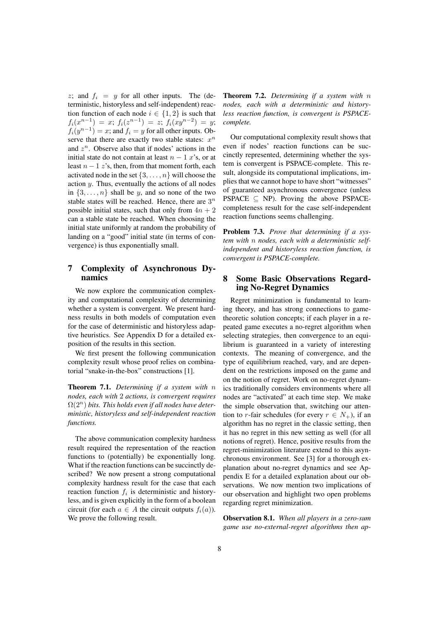z; and  $f_i = y$  for all other inputs. The (deterministic, historyless and self-independent) reaction function of each node  $i \in \{1,2\}$  is such that  $f_i(x^{n-1}) = x; f_i(z^{n-1}) = z; f_i(xy^{n-2}) = y;$  $f_i(y^{n-1}) = x$ ; and  $f_i = y$  for all other inputs. Observe that there are exactly two stable states:  $x^n$ and  $z^n$ . Observe also that if nodes' actions in the initial state do not contain at least  $n - 1$  x's, or at least  $n - 1$  z's, then, from that moment forth, each activated node in the set  $\{3, \ldots, n\}$  will choose the action  $y$ . Thus, eventually the actions of all nodes in  $\{3, \ldots, n\}$  shall be y, and so none of the two stable states will be reached. Hence, there are  $3^n$ possible initial states, such that only from  $4n + 2$ can a stable state be reached. When choosing the initial state uniformly at random the probability of landing on a "good" initial state (in terms of convergence) is thus exponentially small.

# 7 Complexity of Asynchronous Dynamics

We now explore the communication complexity and computational complexity of determining whether a system is convergent. We present hardness results in both models of computation even for the case of deterministic and historyless adaptive heuristics. See Appendix D for a detailed exposition of the results in this section.

We first present the following communication complexity result whose proof relies on combinatorial "snake-in-the-box" constructions [1].

Theorem 7.1. *Determining if a system with* n *nodes, each with* 2 *actions, is convergent requires*  $\Omega(2^n)$  bits. This holds even if all nodes have deter*ministic, historyless and self-independent reaction functions.*

The above communication complexity hardness result required the representation of the reaction functions to (potentially) be exponentially long. What if the reaction functions can be succinctly described? We now present a strong computational complexity hardness result for the case that each reaction function  $f_i$  is deterministic and historyless, and is given explicitly in the form of a boolean circuit (for each  $a \in A$  the circuit outputs  $f_i(a)$ ). We prove the following result.

Theorem 7.2. *Determining if a system with* n *nodes, each with a deterministic and historyless reaction function, is convergent is PSPACEcomplete.*

Our computational complexity result shows that even if nodes' reaction functions can be succinctly represented, determining whether the system is convergent is PSPACE-complete. This result, alongside its computational implications, implies that we cannot hope to have short "witnesses" of guaranteed asynchronous convergence (unless PSPACE  $\subseteq$  NP). Proving the above PSPACEcompleteness result for the case self-independent reaction functions seems challenging.

Problem 7.3. *Prove that determining if a system with* n *nodes, each with a deterministic selfindependent and historyless reaction function, is convergent is PSPACE-complete.*

## 8 Some Basic Observations Regarding No-Regret Dynamics

Regret minimization is fundamental to learning theory, and has strong connections to gametheoretic solution concepts; if each player in a repeated game executes a no-regret algorithm when selecting strategies, then convergence to an equilibrium is guaranteed in a variety of interesting contexts. The meaning of convergence, and the type of equilibrium reached, vary, and are dependent on the restrictions imposed on the game and on the notion of regret. Work on no-regret dynamics traditionally considers environments where all nodes are "activated" at each time step. We make the simple observation that, switching our attention to r-fair schedules (for every  $r \in N_+$ ), if an algorithm has no regret in the classic setting, then it has no regret in this new setting as well (for all notions of regret). Hence, positive results from the regret-minimization literature extend to this asynchronous environment. See [3] for a thorough explanation about no-regret dynamics and see Appendix E for a detailed explanation about our observations. We now mention two implications of our observation and highlight two open problems regarding regret minimization.

Observation 8.1. *When all players in a zero-sum game use no-external-regret algorithms then ap-*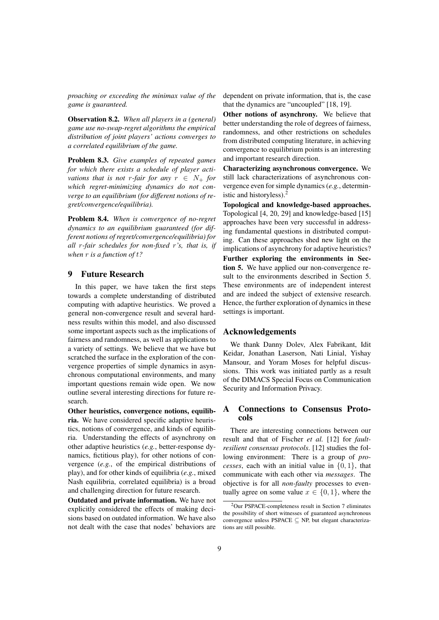*proaching or exceeding the minimax value of the game is guaranteed.*

Observation 8.2. *When all players in a (general) game use no-swap-regret algorithms the empirical distribution of joint players' actions converges to a correlated equilibrium of the game.*

Problem 8.3. *Give examples of repeated games for which there exists a schedule of player activations that is not r-fair for any*  $r \in N_+$  *for which regret-minimizing dynamics do not converge to an equilibrium (for different notions of regret/convergence/equilibria).*

Problem 8.4. *When is convergence of no-regret dynamics to an equilibrium guaranteed (for different notions of regret/convergence/equilibria) for all* r*-fair schedules for non-fixed* r*'s, that is, if when* r *is a function of* t*?*

## 9 Future Research

In this paper, we have taken the first steps towards a complete understanding of distributed computing with adaptive heuristics. We proved a general non-convergence result and several hardness results within this model, and also discussed some important aspects such as the implications of fairness and randomness, as well as applications to a variety of settings. We believe that we have but scratched the surface in the exploration of the convergence properties of simple dynamics in asynchronous computational environments, and many important questions remain wide open. We now outline several interesting directions for future research.

Other heuristics, convergence notions, equilibria. We have considered specific adaptive heuristics, notions of convergence, and kinds of equilibria. Understanding the effects of asynchrony on other adaptive heuristics (*e.g.*, better-response dynamics, fictitious play), for other notions of convergence (*e.g.*, of the empirical distributions of play), and for other kinds of equilibria (*e.g.*, mixed Nash equilibria, correlated equilibria) is a broad and challenging direction for future research.

Outdated and private information. We have not explicitly considered the effects of making decisions based on outdated information. We have also not dealt with the case that nodes' behaviors are dependent on private information, that is, the case that the dynamics are "uncoupled" [18, 19].

Other notions of asynchrony. We believe that better understanding the role of degrees of fairness, randomness, and other restrictions on schedules from distributed computing literature, in achieving convergence to equilibrium points is an interesting and important research direction.

Characterizing asynchronous convergence. We still lack characterizations of asynchronous convergence even for simple dynamics (*e.g.*, deterministic and historyless).<sup>2</sup>

Topological and knowledge-based approaches. Topological [4, 20, 29] and knowledge-based [15] approaches have been very successful in addressing fundamental questions in distributed computing. Can these approaches shed new light on the implications of asynchrony for adaptive heuristics? Further exploring the environments in Section 5. We have applied our non-convergence result to the environments described in Section 5. These environments are of independent interest and are indeed the subject of extensive research. Hence, the further exploration of dynamics in these settings is important.

#### Acknowledgements

We thank Danny Dolev, Alex Fabrikant, Idit Keidar, Jonathan Laserson, Nati Linial, Yishay Mansour, and Yoram Moses for helpful discussions. This work was initiated partly as a result of the DIMACS Special Focus on Communication Security and Information Privacy.

## A Connections to Consensus Protocols

There are interesting connections between our result and that of Fischer *et al.* [12] for *faultresilient consensus protocols*. [12] studies the following environment: There is a group of *processes*, each with an initial value in  $\{0, 1\}$ , that communicate with each other via *messages*. The objective is for all *non-faulty* processes to eventually agree on some value  $x \in \{0, 1\}$ , where the

<sup>2</sup>Our PSPACE-completeness result in Section 7 eliminates the possibility of short witnesses of guaranteed asynchronous convergence unless PSPACE ⊆ NP, but elegant characterizations are still possible.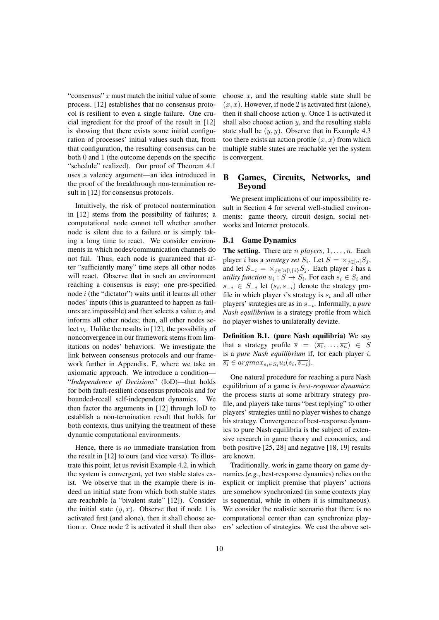"consensus"  $x$  must match the initial value of some process. [12] establishes that no consensus protocol is resilient to even a single failure. One crucial ingredient for the proof of the result in [12] is showing that there exists some initial configuration of processes' initial values such that, from that configuration, the resulting consensus can be both 0 and 1 (the outcome depends on the specific "schedule" realized). Our proof of Theorem 4.1 uses a valency argument—an idea introduced in the proof of the breakthrough non-termination result in [12] for consensus protocols.

Intuitively, the risk of protocol nontermination in [12] stems from the possibility of failures; a computational node cannot tell whether another node is silent due to a failure or is simply taking a long time to react. We consider environments in which nodes/communication channels do not fail. Thus, each node is guaranteed that after "sufficiently many" time steps all other nodes will react. Observe that in such an environment reaching a consensus is easy; one pre-specified node i (the "dictator") waits until it learns all other nodes' inputs (this is guaranteed to happen as failures are impossible) and then selects a value  $v_i$  and informs all other nodes; then, all other nodes select  $v_i$ . Unlike the results in [12], the possibility of nonconvergence in our framework stems from limitations on nodes' behaviors. We investigate the link between consensus protocols and our framework further in Appendix. F, where we take an axiomatic approach. We introduce a condition— "*Independence of Decisions*" (IoD)—that holds for both fault-resilient consensus protocols and for bounded-recall self-independent dynamics. We then factor the arguments in [12] through IoD to establish a non-termination result that holds for both contexts, thus unifying the treatment of these dynamic computational environments.

Hence, there is *no* immediate translation from the result in [12] to ours (and vice versa). To illustrate this point, let us revisit Example 4.2, in which the system is convergent, yet two stable states exist. We observe that in the example there is indeed an initial state from which both stable states are reachable (a "bivalent state" [12]). Consider the initial state  $(y, x)$ . Observe that if node 1 is activated first (and alone), then it shall choose action  $x$ . Once node 2 is activated it shall then also choose  $x$ , and the resulting stable state shall be  $(x, x)$ . However, if node 2 is activated first (alone), then it shall choose action  $y$ . Once 1 is activated it shall also choose action  $y$ , and the resulting stable state shall be  $(y, y)$ . Observe that in Example 4.3 too there exists an action profile  $(x, x)$  from which multiple stable states are reachable yet the system is convergent.

# B Games, Circuits, Networks, and Beyond

We present implications of our impossibility result in Section 4 for several well-studied environments: game theory, circuit design, social networks and Internet protocols.

## B.1 Game Dynamics

**The setting.** There are *n players*,  $1, \ldots, n$ . Each player *i* has a *strategy set*  $S_i$ . Let  $S = \times_{j \in [n]} S_j$ , and let  $S_{-i} = \times_{j \in [n] \setminus \{i\}} S_j$ . Each player i has a *utility function*  $u_i : S \to S_i$ . For each  $s_i \in S_i$  and  $s_{-i} \in S_{-i}$  let  $(s_i, s_{-i})$  denote the strategy profile in which player i's strategy is  $s_i$  and all other players' strategies are as in s<sup>−</sup><sup>i</sup> . Informally, a *pure Nash equilibrium* is a strategy profile from which no player wishes to unilaterally deviate.

Definition B.1. (pure Nash equilibria) We say that a strategy profile  $\overline{s} = (\overline{s_1}, \ldots, \overline{s_n}) \in S$ is a *pure Nash equilibrium* if, for each player i,  $\overline{s_i} \in argmax_{s_i \in S_i} u_i(s_i, \overline{s_{-i}}).$ 

One natural procedure for reaching a pure Nash equilibrium of a game is *best-response dynamics*: the process starts at some arbitrary strategy profile, and players take turns "best replying" to other players' strategies until no player wishes to change his strategy. Convergence of best-response dynamics to pure Nash equilibria is the subject of extensive research in game theory and economics, and both positive [25, 28] and negative [18, 19] results are known.

Traditionally, work in game theory on game dynamics (*e.g.*, best-response dynamics) relies on the explicit or implicit premise that players' actions are somehow synchronized (in some contexts play is sequential, while in others it is simultaneous). We consider the realistic scenario that there is no computational center than can synchronize players' selection of strategies. We cast the above set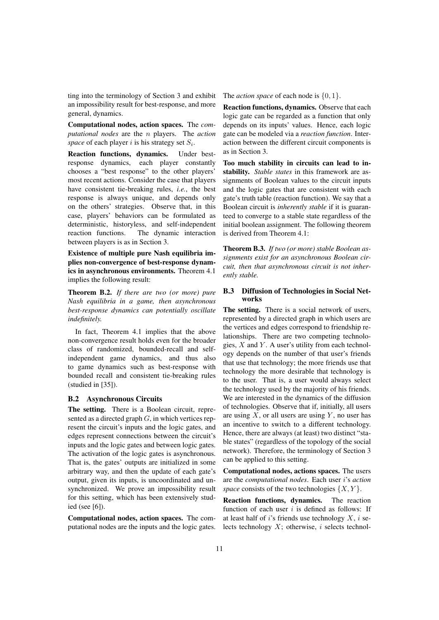ting into the terminology of Section 3 and exhibit an impossibility result for best-response, and more general, dynamics.

Computational nodes, action spaces. The *computational nodes* are the n players. The *action* space of each player  $i$  is his strategy set  $S_i$ .

Reaction functions, dynamics. Under bestresponse dynamics, each player constantly chooses a "best response" to the other players' most recent actions. Consider the case that players have consistent tie-breaking rules, *i.e.*, the best response is always unique, and depends only on the others' strategies. Observe that, in this case, players' behaviors can be formulated as deterministic, historyless, and self-independent reaction functions. The dynamic interaction between players is as in Section 3.

Existence of multiple pure Nash equilibria implies non-convergence of best-response dynamics in asynchronous environments. Theorem 4.1 implies the following result:

Theorem B.2. *If there are two (or more) pure Nash equilibria in a game, then asynchronous best-response dynamics can potentially oscillate indefinitely.*

In fact, Theorem 4.1 implies that the above non-convergence result holds even for the broader class of randomized, bounded-recall and selfindependent game dynamics, and thus also to game dynamics such as best-response with bounded recall and consistent tie-breaking rules (studied in [35]).

## B.2 Asynchronous Circuits

The setting. There is a Boolean circuit, represented as a directed graph  $G$ , in which vertices represent the circuit's inputs and the logic gates, and edges represent connections between the circuit's inputs and the logic gates and between logic gates. The activation of the logic gates is asynchronous. That is, the gates' outputs are initialized in some arbitrary way, and then the update of each gate's output, given its inputs, is uncoordinated and unsynchronized. We prove an impossibility result for this setting, which has been extensively studied (see [6]).

Computational nodes, action spaces. The computational nodes are the inputs and the logic gates. The *action space* of each node is  $\{0, 1\}$ .

Reaction functions, dynamics. Observe that each logic gate can be regarded as a function that only depends on its inputs' values. Hence, each logic gate can be modeled via a *reaction function*. Interaction between the different circuit components is as in Section 3.

Too much stability in circuits can lead to instability. *Stable states* in this framework are assignments of Boolean values to the circuit inputs and the logic gates that are consistent with each gate's truth table (reaction function). We say that a Boolean circuit is *inherently stable* if it is guaranteed to converge to a stable state regardless of the initial boolean assignment. The following theorem is derived from Theorem 4.1:

Theorem B.3. *If two (or more) stable Boolean assignments exist for an asynchronous Boolean circuit, then that asynchronous circuit is not inherently stable.*

#### B.3 Diffusion of Technologies in Social Networks

The setting. There is a social network of users, represented by a directed graph in which users are the vertices and edges correspond to friendship relationships. There are two competing technologies,  $X$  and  $Y$ . A user's utility from each technology depends on the number of that user's friends that use that technology; the more friends use that technology the more desirable that technology is to the user. That is, a user would always select the technology used by the majority of his friends. We are interested in the dynamics of the diffusion of technologies. Observe that if, initially, all users are using  $X$ , or all users are using  $Y$ , no user has an incentive to switch to a different technology. Hence, there are always (at least) two distinct "stable states" (regardless of the topology of the social network). Therefore, the terminology of Section 3 can be applied to this setting.

Computational nodes, actions spaces. The users are the *computational nodes*. Each user i's *action space* consists of the two technologies  $\{X, Y\}$ .

Reaction functions, dynamics. The reaction function of each user  $i$  is defined as follows: If at least half of  $i$ 's friends use technology  $X$ ,  $i$  selects technology  $X$ ; otherwise,  $i$  selects technol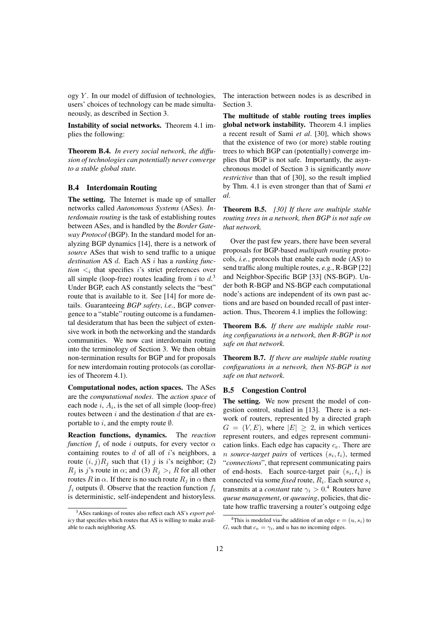ogy  $Y$ . In our model of diffusion of technologies, users' choices of technology can be made simultaneously, as described in Section 3.

Instability of social networks. Theorem 4.1 implies the following:

Theorem B.4. *In every social network, the diffusion of technologies can potentially never converge to a stable global state.*

#### B.4 Interdomain Routing

The setting. The Internet is made up of smaller networks called *Autonomous Systems* (ASes). *Interdomain routing* is the task of establishing routes between ASes, and is handled by the *Border Gateway Protocol* (BGP). In the standard model for analyzing BGP dynamics [14], there is a network of *source* ASes that wish to send traffic to a unique *destination* AS d. Each AS i has a *ranking function*  $\lt_i$  that specifies *i*'s strict preferences over all simple (loop-free) routes leading from i to  $d^3$ . Under BGP, each AS constantly selects the "best" route that is available to it. See [14] for more details. Guaranteeing *BGP safety*, *i.e.*, BGP convergence to a "stable" routing outcome is a fundamental desideratum that has been the subject of extensive work in both the networking and the standards communities. We now cast interdomain routing into the terminology of Section 3. We then obtain non-termination results for BGP and for proposals for new interdomain routing protocols (as corollaries of Theorem 4.1).

Computational nodes, action spaces. The ASes are the *computational nodes*. The *action space* of each node  $i$ ,  $A_i$ , is the set of all simple (loop-free) routes between  $i$  and the destination  $d$  that are exportable to i, and the empty route  $\emptyset$ .

Reaction functions, dynamics. The *reaction function*  $f_i$  of node *i* outputs, for every vector  $\alpha$ containing routes to  $d$  of all of  $i$ 's neighbors, a route  $(i, j)R_i$  such that (1) j is i's neighbor; (2)  $R_i$  is j's route in  $\alpha$ ; and (3)  $R_i >_i R$  for all other routes R in  $\alpha$ . If there is no such route  $R_i$  in  $\alpha$  then  $f_i$  outputs  $\emptyset$ . Observe that the reaction function  $f_i$ is deterministic, self-independent and historyless.

The interaction between nodes is as described in Section 3.

The multitude of stable routing trees implies global network instability. Theorem 4.1 implies a recent result of Sami *et al*. [30], which shows that the existence of two (or more) stable routing trees to which BGP can (potentially) converge implies that BGP is not safe. Importantly, the asynchronous model of Section 3 is significantly *more restrictive* than that of [30], so the result implied by Thm. 4.1 is even stronger than that of Sami *et al*.

Theorem B.5. *[30] If there are multiple stable routing trees in a network, then BGP is not safe on that network.*

Over the past few years, there have been several proposals for BGP-based *multipath routing* protocols, *i.e.*, protocols that enable each node (AS) to send traffic along multiple routes, *e.g.*, R-BGP [22] and Neighbor-Specific BGP [33] (NS-BGP). Under both R-BGP and NS-BGP each computational node's actions are independent of its own past actions and are based on bounded recall of past interaction. Thus, Theorem 4.1 implies the following:

Theorem B.6. *If there are multiple stable routing configurations in a network, then R-BGP is not safe on that network.*

Theorem B.7. *If there are multiple stable routing configurations in a network, then NS-BGP is not safe on that network.*

## B.5 Congestion Control

The setting. We now present the model of congestion control, studied in [13]. There is a network of routers, represented by a directed graph  $G = (V, E)$ , where  $|E| \geq 2$ , in which vertices represent routers, and edges represent communication links. Each edge has capacity  $c_e$ . There are *n* source-target pairs of vertices  $(s_i, t_i)$ , termed "*connections*", that represent communicating pairs of end-hosts. Each source-target pair  $(s_i, t_i)$  is connected via some *fixed* route,  $R_i$ . Each source  $s_i$ transmits at a *constant* rate  $\gamma_i > 0.4$  Routers have *queue management*, or *queueing*, policies, that dictate how traffic traversing a router's outgoing edge

<sup>3</sup>ASes rankings of routes also reflect each AS's *export policy* that specifies which routes that AS is willing to make available to each neighboring AS.

<sup>&</sup>lt;sup>4</sup>This is modeled via the addition of an edge  $e = (u, s_i)$  to G, such that  $c_e = \gamma_i$ , and u has no incoming edges.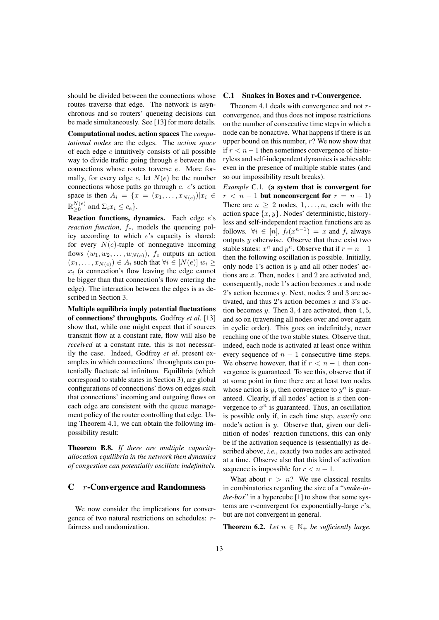should be divided between the connections whose routes traverse that edge. The network is asynchronous and so routers' queueing decisions can be made simultaneously. See [13] for more details.

Computational nodes, action spaces The *computational nodes* are the edges. The *action space* of each edge  $e$  intuitively consists of all possible way to divide traffic going through  $e$  between the connections whose routes traverse e. More formally, for every edge  $e$ , let  $N(e)$  be the number connections whose paths go through e. e's action space is then  $A_i = \{x = (x_1, \ldots, x_{N(e)}) | x_i \in$  $\mathbb{R}^{N(e)}$  $\sum_{i=0}^{N(e)}$  and  $\Sigma_i x_i \leq c_e$ .

Reaction functions, dynamics. Each edge e's *reaction function,*  $f_e$ , models the queueing policy according to which e's capacity is shared: for every  $N(e)$ -tuple of nonnegative incoming flows  $(w_1, w_2, \ldots, w_{N(e)})$ ,  $f_e$  outputs an action  $(x_1, \ldots, x_{N(e)}) \in A_i$  such that  $\forall i \in [N(e)]$   $w_i \geq$  $x_i$  (a connection's flow leaving the edge cannot be bigger than that connection's flow entering the edge). The interaction between the edges is as described in Section 3.

Multiple equilibria imply potential fluctuations of connections' throughputs. Godfrey *et al*. [13] show that, while one might expect that if sources transmit flow at a constant rate, flow will also be *received* at a constant rate, this is not necessarily the case. Indeed, Godfrey *et al*. present examples in which connections' throughputs can potentially fluctuate ad infinitum. Equilibria (which correspond to stable states in Section 3), are global configurations of connections' flows on edges such that connections' incoming and outgoing flows on each edge are consistent with the queue management policy of the router controlling that edge. Using Theorem 4.1, we can obtain the following impossibility result:

Theorem B.8. *If there are multiple capacityallocation equilibria in the network then dynamics of congestion can potentially oscillate indefinitely.*

# C r-Convergence and Randomness

We now consider the implications for convergence of two natural restrictions on schedules: rfairness and randomization.

### C.1 Snakes in Boxes and r-Convergence.

Theorem 4.1 deals with convergence and not rconvergence, and thus does not impose restrictions on the number of consecutive time steps in which a node can be nonactive. What happens if there is an upper bound on this number,  $r$ ? We now show that if  $r < n − 1$  then sometimes convergence of historyless and self-independent dynamics is achievable even in the presence of multiple stable states (and so our impossibility result breaks).

*Example* C.1*.* (a system that is convergent for  $r < n - 1$  but nonconvergent for  $r = n - 1$ ) There are  $n \geq 2$  nodes,  $1, \ldots, n$ , each with the action space  $\{x, y\}$ . Nodes' deterministic, historyless and self-independent reaction functions are as follows.  $\forall i \in [n]$ ,  $f_i(x^{n-1}) = x$  and  $f_i$  always outputs  $y$  otherwise. Observe that there exist two stable states:  $x^n$  and  $y^n$ . Observe that if  $r = n - 1$ then the following oscillation is possible. Initially, only node 1's action is  $y$  and all other nodes' actions are x. Then, nodes 1 and 2 are activated and, consequently, node 1's action becomes  $x$  and node 2's action becomes y. Next, nodes 2 and 3 are activated, and thus 2's action becomes  $x$  and 3's action becomes  $y$ . Then 3, 4 are activated, then 4, 5, and so on (traversing all nodes over and over again in cyclic order). This goes on indefinitely, never reaching one of the two stable states. Observe that, indeed, each node is activated at least once within every sequence of  $n - 1$  consecutive time steps. We observe however, that if  $r < n - 1$  then convergence is guaranteed. To see this, observe that if at some point in time there are at least two nodes whose action is  $y$ , then convergence to  $y^n$  is guaranteed. Clearly, if all nodes' action is  $x$  then convergence to  $x^n$  is guaranteed. Thus, an oscillation is possible only if, in each time step, *exactly* one node's action is  $y$ . Observe that, given our definition of nodes' reaction functions, this can only be if the activation sequence is (essentially) as described above, *i.e.*, exactly two nodes are activated at a time. Observe also that this kind of activation sequence is impossible for  $r < n - 1$ .

What about  $r > n$ ? We use classical results in combinatorics regarding the size of a "*snake-inthe-box*" in a hypercube [1] to show that some systems are  $r$ -convergent for exponentially-large  $r$ 's, but are not convergent in general.

**Theorem 6.2.** *Let*  $n \in \mathbb{N}_+$  *be sufficiently large.*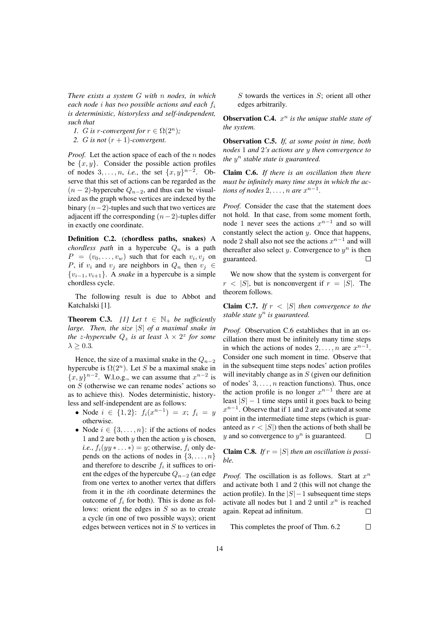*There exists a system* G *with* n *nodes, in which each node* i *has two possible actions and each* f<sup>i</sup> *is deterministic, historyless and self-independent, such that*

*1. G* is *r*-convergent for  $r \in \Omega(2^n)$ ;

2. *G* is not  $(r + 1)$ -convergent.

*Proof.* Let the action space of each of the  $n$  nodes be  $\{x, y\}$ . Consider the possible action profiles of nodes  $3, \ldots, n$ , *i.e.*, the set  $\{x, y\}^{n-2}$ . Observe that this set of actions can be regarded as the  $(n-2)$ -hypercube  $Q_{n-2}$ , and thus can be visualized as the graph whose vertices are indexed by the binary  $(n-2)$ -tuples and such that two vertices are adjacent iff the corresponding  $(n-2)$ -tuples differ in exactly one coordinate.

Definition C.2. (chordless paths, snakes) A *chordless path* in a hypercube  $Q_n$  is a path  $P = (v_0, \dots, v_w)$  such that for each  $v_i, v_j$  on P, if  $v_i$  and  $v_j$  are neighbors in  $Q_n$  then  $v_j \in$ {vi−1, vi+1}. A *snake* in a hypercube is a simple chordless cycle.

The following result is due to Abbot and Katchalski [1].

**Theorem C.3.** *[1] Let*  $t \in \mathbb{N}_+$  *be sufficiently large. Then, the size* |S| *of a maximal snake in the z-hypercube*  $Q_z$  *is at least*  $\lambda \times 2^z$  *for some*  $\lambda \geq 0.3$ .

Hence, the size of a maximal snake in the  $Q_{n-2}$ hypercube is  $\Omega(2^n)$ . Let S be a maximal snake in  ${x, y}^{n-2}$ . W.l.o.g., we can assume that  $x^{n-2}$  is on S (otherwise we can rename nodes' actions so as to achieve this). Nodes deterministic, historyless and self-independent are as follows:

- Node  $i \in \{1,2\}$ :  $f_i(x^{n-1}) = x$ ;  $f_i = y$ otherwise.
- Node  $i \in \{3, \ldots, n\}$ : if the actions of nodes 1 and 2 are both  $y$  then the action  $y$  is chosen, *i.e.*,  $f_i(yy * ... * ) = y$ ; otherwise,  $f_i$  only depends on the actions of nodes in  $\{3, \ldots, n\}$ and therefore to describe  $f_i$  it suffices to orient the edges of the hypercube  $Q_{n-2}$  (an edge from one vertex to another vertex that differs from it in the ith coordinate determines the outcome of  $f_i$  for both). This is done as follows: orient the edges in  $S$  so as to create a cycle (in one of two possible ways); orient edges between vertices not in  $S$  to vertices in

 $S$  towards the vertices in  $S$ ; orient all other edges arbitrarily.

**Observation C.4.**  $x^n$  is the unique stable state of *the system.*

Observation C.5. *If, at some point in time, both nodes* 1 *and* 2*'s actions are* y *then convergence to the* y <sup>n</sup> *stable state is guaranteed.*

Claim C.6. *If there is an oscillation then there must be infinitely many time steps in which the actions of nodes*  $2, \ldots, n$  *are*  $x^{n-1}$ *.* 

*Proof.* Consider the case that the statement does not hold. In that case, from some moment forth, node 1 never sees the actions  $x^{n-1}$  and so will constantly select the action  $y$ . Once that happens, node 2 shall also not see the actions  $x^{n-1}$  and will thereafter also select y. Convergence to  $y^n$  is then guaranteed.  $\Box$ 

We now show that the system is convergent for  $r < |S|$ , but is nonconvergent if  $r = |S|$ . The theorem follows.

**Claim C.7.** *If*  $r < |S|$  *then convergence to the stable state* y <sup>n</sup> *is guaranteed.*

*Proof.* Observation C.6 establishes that in an oscillation there must be infinitely many time steps in which the actions of nodes  $2, \ldots, n$  are  $x^{n-1}$ . Consider one such moment in time. Observe that in the subsequent time steps nodes' action profiles will inevitably change as in  $S$  (given our definition of nodes'  $3, \ldots, n$  reaction functions). Thus, once the action profile is no longer  $x^{n-1}$  there are at least  $|S| - 1$  time steps until it goes back to being  $x^{n-1}$ . Observe that if 1 and 2 are activated at some point in the intermediate time steps (which is guaranteed as  $r < |S|$ ) then the actions of both shall be  $y$  and so convergence to  $y^n$  is guaranteed.  $\Box$ 

**Claim C.8.** *If*  $r = |S|$  *then an oscillation is possible.*

*Proof.* The oscillation is as follows. Start at  $x^n$ and activate both 1 and 2 (this will not change the action profile). In the  $|S|$  - 1 subsequent time steps activate all nodes but 1 and 2 until  $x^n$  is reached again. Repeat ad infinitum.  $\Box$ 

 $\Box$ This completes the proof of Thm. 6.2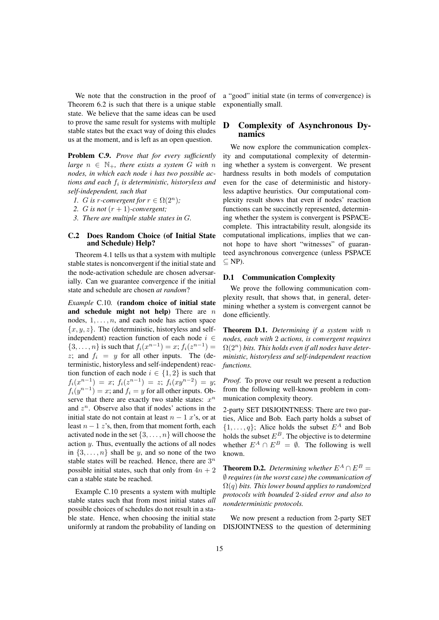We note that the construction in the proof of Theorem 6.2 is such that there is a unique stable state. We believe that the same ideas can be used to prove the same result for systems with multiple stable states but the exact way of doing this eludes us at the moment, and is left as an open question.

Problem C.9. *Prove that for every sufficiently large*  $n \in \mathbb{N}_+$ *, there exists a system G with* n *nodes, in which each node* i *has two possible actions and each* f<sup>i</sup> *is deterministic, historyless and self-independent, such that*

- *1. G is r*-convergent for  $r \in \Omega(2^n)$ ;
- 2. *G* is not  $(r + 1)$ -convergent;
- *3. There are multiple stable states in* G*.*

#### C.2 Does Random Choice (of Initial State and Schedule) Help?

Theorem 4.1 tells us that a system with multiple stable states is nonconvergent if the initial state and the node-activation schedule are chosen adversarially. Can we guarantee convergence if the initial state and schedule are chosen *at random*?

*Example* C.10*.* (random choice of initial state and schedule might not help) There are  $n$ nodes,  $1, \ldots, n$ , and each node has action space  ${x, y, z}$ . The (deterministic, historyless and selfindependent) reaction function of each node  $i \in$  $\{3, \ldots, n\}$  is such that  $f_i(x^{n-1}) = x$ ;  $f_i(z^{n-1}) =$ z; and  $f_i = y$  for all other inputs. The (deterministic, historyless and self-independent) reaction function of each node  $i \in \{1, 2\}$  is such that  $f_i(x^{n-1}) = x; f_i(z^{n-1}) = z; f_i(xy^{n-2}) = y;$  $f_i(y^{n-1}) = x$ ; and  $f_i = y$  for all other inputs. Observe that there are exactly two stable states:  $x^n$ and  $z^n$ . Observe also that if nodes' actions in the initial state do not contain at least  $n - 1$  x's, or at least  $n - 1$  z's, then, from that moment forth, each activated node in the set  $\{3, \ldots, n\}$  will choose the action y. Thus, eventually the actions of all nodes in  $\{3, \ldots, n\}$  shall be y, and so none of the two stable states will be reached. Hence, there are  $3^n$ possible initial states, such that only from  $4n + 2$ can a stable state be reached.

Example C.10 presents a system with multiple stable states such that from most initial states *all* possible choices of schedules do not result in a stable state. Hence, when choosing the initial state uniformly at random the probability of landing on a "good" initial state (in terms of convergence) is exponentially small.

## D Complexity of Asynchronous Dynamics

We now explore the communication complexity and computational complexity of determining whether a system is convergent. We present hardness results in both models of computation even for the case of deterministic and historyless adaptive heuristics. Our computational complexity result shows that even if nodes' reaction functions can be succinctly represented, determining whether the system is convergent is PSPACEcomplete. This intractability result, alongside its computational implications, implies that we cannot hope to have short "witnesses" of guaranteed asynchronous convergence (unless PSPACE  $\subseteq$  NP).

## D.1 Communication Complexity

We prove the following communication complexity result, that shows that, in general, determining whether a system is convergent cannot be done efficiently.

Theorem D.1. *Determining if a system with* n *nodes, each with* 2 *actions, is convergent requires*  $\Omega(2^n)$  bits. This holds even if all nodes have deter*ministic, historyless and self-independent reaction functions.*

*Proof.* To prove our result we present a reduction from the following well-known problem in communication complexity theory.

2-party SET DISJOINTNESS: There are two parties, Alice and Bob. Each party holds a subset of  $\{1, \ldots, q\}$ ; Alice holds the subset  $E^A$  and Bob holds the subset  $E^B$ . The objective is to determine whether  $E^A \cap E^B = \emptyset$ . The following is well known.

**Theorem D.2.** *Determining whether*  $E^A \cap E^B =$ ∅ *requires (in the worst case) the communication of* Ω(q) *bits. This lower bound applies to randomized protocols with bounded* 2*-sided error and also to nondeterministic protocols.*

We now present a reduction from 2-party SET DISJOINTNESS to the question of determining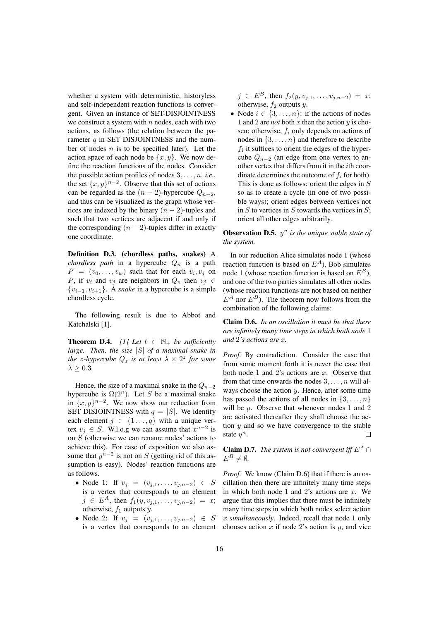whether a system with deterministic, historyless and self-independent reaction functions is convergent. Given an instance of SET-DISJOINTNESS we construct a system with  $n$  nodes, each with two actions, as follows (the relation between the parameter  $q$  in SET DISJOINTNESS and the number of nodes  $n$  is to be specified later). Let the action space of each node be  $\{x, y\}$ . We now define the reaction functions of the nodes. Consider the possible action profiles of nodes  $3, \ldots, n$ , *i.e.*, the set  $\{x, y\}^{n-2}$ . Observe that this set of actions can be regarded as the  $(n - 2)$ -hypercube  $Q_{n-2}$ , and thus can be visualized as the graph whose vertices are indexed by the binary  $(n - 2)$ -tuples and such that two vertices are adjacent if and only if the corresponding  $(n - 2)$ -tuples differ in exactly one coordinate.

Definition D.3. (chordless paths, snakes) A *chordless path* in a hypercube  $Q_n$  is a path  $P = (v_0, \dots, v_w)$  such that for each  $v_i, v_j$  on P, if  $v_i$  and  $v_j$  are neighbors in  $Q_n$  then  $v_j \in$ {vi−1, vi+1}. A *snake* in a hypercube is a simple chordless cycle.

The following result is due to Abbot and Katchalski [1].

**Theorem D.4.** *[1] Let*  $t \in \mathbb{N}_+$  *be sufficiently large. Then, the size* |S| *of a maximal snake in the z-hypercube*  $Q_z$  *is at least*  $\lambda \times 2^z$  *for some*  $\lambda > 0.3$ .

Hence, the size of a maximal snake in the  $Q_{n-2}$ hypercube is  $\Omega(2^n)$ . Let S be a maximal snake in  $\{x, y\}^{n-2}$ . We now show our reduction from SET DISJOINTNESS with  $q = |S|$ . We identify each element  $j \in \{1 \dots, q\}$  with a unique vertex  $v_j \in S$ . W.l.o.g we can assume that  $x^{n-2}$  is on  $S$  (otherwise we can rename nodes' actions to achieve this). For ease of exposition we also assume that  $y^{n-2}$  is not on S (getting rid of this assumption is easy). Nodes' reaction functions are as follows.

- Node 1: If  $v_j = (v_{j,1}, \ldots, v_{j,n-2}) \in S$ is a vertex that corresponds to an element  $j \in E^A$ , then  $f_1(y, v_{j,1}, \ldots, v_{j,n-2}) = x;$ otherwise,  $f_1$  outputs  $y$ .
- Node 2: If  $v_j = (v_{j,1}, \ldots, v_{j,n-2}) \in S$ is a vertex that corresponds to an element

 $j \in E^B$ , then  $f_2(y, v_{j,1}, \ldots, v_{j,n-2}) = x;$ otherwise,  $f_2$  outputs  $y$ .

• Node  $i \in \{3, \ldots, n\}$ : if the actions of nodes 1 and 2 are *not* both x then the action  $y$  is chosen; otherwise,  $f_i$  only depends on actions of nodes in  $\{3, \ldots, n\}$  and therefore to describe  $f_i$  it suffices to orient the edges of the hypercube  $Q_{n-2}$  (an edge from one vertex to another vertex that differs from it in the ith coordinate determines the outcome of  $f_i$  for both). This is done as follows: orient the edges in S so as to create a cycle (in one of two possible ways); orient edges between vertices not in  $S$  to vertices in  $S$  towards the vertices in  $S$ ; orient all other edges arbitrarily.

**Observation D.5.**  $y^n$  is the unique stable state of *the system.*

In our reduction Alice simulates node 1 (whose reaction function is based on  $E^A$ ), Bob simulates node 1 (whose reaction function is based on  $E^B$ ), and one of the two parties simulates all other nodes (whose reaction functions are not based on neither  $E^A$  nor  $E^B$ ). The theorem now follows from the combination of the following claims:

Claim D.6. *In an oscillation it must be that there are infinitely many time steps in which both node* 1 *and* 2*'s actions are* x*.*

*Proof.* By contradiction. Consider the case that from some moment forth it is never the case that both node 1 and 2's actions are  $x$ . Observe that from that time onwards the nodes  $3, \ldots, n$  will always choose the action  $y$ . Hence, after some time has passed the actions of all nodes in  $\{3, \ldots, n\}$ will be  $y$ . Observe that whenever nodes 1 and 2 are activated thereafter they shall choose the action  $y$  and so we have convergence to the stable state  $y^n$ .  $\Box$ 

**Claim D.7.** *The system is not convergent iff*  $E^A \cap$  $E^B \neq \emptyset$ .

*Proof.* We know (Claim D.6) that if there is an oscillation then there are infinitely many time steps in which both node 1 and 2's actions are  $x$ . We argue that this implies that there must be infinitely many time steps in which both nodes select action x *simultaneously*. Indeed, recall that node 1 only chooses action  $x$  if node 2's action is  $y$ , and vice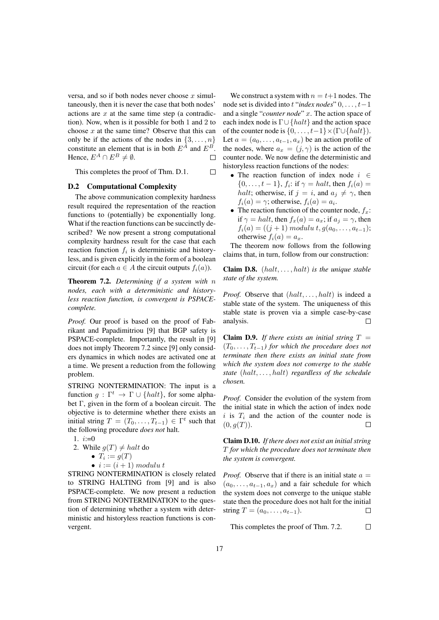versa, and so if both nodes never choose  $x$  simultaneously, then it is never the case that both nodes' actions are  $x$  at the same time step (a contradiction). Now, when is it possible for both 1 and 2 to choose  $x$  at the same time? Observe that this can only be if the actions of the nodes in  $\{3, \ldots, n\}$ constitute an element that is in both  $E^{\hat{A}}$  and  $E^{\hat{B}}$ . Hence,  $E^A \cap E^B \neq \emptyset$ .  $\Box$ 

This completes the proof of Thm. D.1.

 $\Box$ 

## D.2 Computational Complexity

The above communication complexity hardness result required the representation of the reaction functions to (potentially) be exponentially long. What if the reaction functions can be succinctly described? We now present a strong computational complexity hardness result for the case that each reaction function  $f_i$  is deterministic and historyless, and is given explicitly in the form of a boolean circuit (for each  $a \in A$  the circuit outputs  $f_i(a)$ ).

Theorem 7.2. *Determining if a system with* n *nodes, each with a deterministic and historyless reaction function, is convergent is PSPACEcomplete.*

*Proof.* Our proof is based on the proof of Fabrikant and Papadimitriou [9] that BGP safety is PSPACE-complete. Importantly, the result in [9] does not imply Theorem 7.2 since [9] only considers dynamics in which nodes are activated one at a time. We present a reduction from the following problem.

STRING NONTERMINATION: The input is a function  $q: \Gamma^t \to \Gamma \cup \{halt\}$ , for some alphabet Γ, given in the form of a boolean circuit. The objective is to determine whether there exists an initial string  $T = (T_0, \ldots, T_{t-1}) \in \Gamma^t$  such that the following procedure *does not* halt.

- 1.  $i:=0$
- 2. While  $q(T) \neq halt$  do
	- $T_i := g(T)$ 
		- $i := (i + 1) \text{ mod } u$

STRING NONTERMINATION is closely related to STRING HALTING from [9] and is also PSPACE-complete. We now present a reduction from STRING NONTERMINATION to the question of determining whether a system with deterministic and historyless reaction functions is convergent.

We construct a system with  $n = t+1$  nodes. The node set is divided into t "*index nodes*" 0, . . . , t−1 and a single "*counter node*" x. The action space of each index node is  $\Gamma \cup \{halt\}$  and the action space of the counter node is  $\{0, \ldots, t-1\} \times (\Gamma \cup \{halt\}).$ Let  $a = (a_0, \ldots, a_{t-1}, a_x)$  be an action profile of the nodes, where  $a_x = (j, \gamma)$  is the action of the counter node. We now define the deterministic and historyless reaction functions of the nodes:

- The reaction function of index node  $i \in$  $\{0, \ldots, t-1\}, f_i$ : if  $\gamma = \text{halt}$ , then  $f_i(a) =$ *halt*; otherwise, if  $j = i$ , and  $a_j \neq \gamma$ , then  $f_i(a) = \gamma$ ; otherwise,  $f_i(a) = a_i$ .
- The reaction function of the counter node,  $f_x$ : if  $\gamma = halt$ , then  $f_x(a) = a_x$ ; if  $a_i = \gamma$ , then  $f_i(a) = ((j + 1) moduli t, g(a_0, \ldots, a_{t-1});$ otherwise  $f_i(a) = a_x$ .

The theorem now follows from the following claims that, in turn, follow from our construction:

Claim D.8. (halt, . . . , halt) *is the unique stable state of the system.*

*Proof.* Observe that  $(halt, \ldots, halt)$  is indeed a stable state of the system. The uniqueness of this stable state is proven via a simple case-by-case analysis.  $\Box$ 

**Claim D.9.** If there exists an initial string  $T =$  $(T_0, \ldots, T_{t-1})$  for which the procedure does not *terminate then there exists an initial state from which the system does not converge to the stable state* (halt, . . . , halt) *regardless of the schedule chosen.*

*Proof.* Consider the evolution of the system from the initial state in which the action of index node i is  $T_i$  and the action of the counter node is  $(0, q(T)).$ 

Claim D.10. *If there does not exist an initial string* T *for which the procedure does not terminate then the system is convergent.*

*Proof.* Observe that if there is an initial state  $a =$  $(a_0, \ldots, a_{t-1}, a_x)$  and a fair schedule for which the system does not converge to the unique stable state then the procedure does not halt for the initial string  $T = (a_0, \ldots, a_{t-1}).$  $\Box$ 

This completes the proof of Thm. 7.2.  $\Box$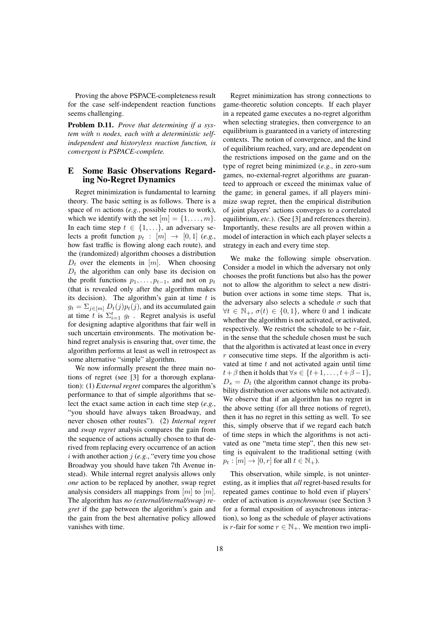Proving the above PSPACE-completeness result for the case self-independent reaction functions seems challenging.

Problem D.11. *Prove that determining if a system with* n *nodes, each with a deterministic selfindependent and historyless reaction function, is convergent is PSPACE-complete.*

## E Some Basic Observations Regarding No-Regret Dynamics

Regret minimization is fundamental to learning theory. The basic setting is as follows. There is a space of m actions (*e.g.*, possible routes to work), which we identify with the set  $[m] = \{1, \ldots, m\}.$ In each time step  $t \in \{1, \ldots\}$ , an adversary selects a profit function  $p_t : [m] \rightarrow [0, 1]$  (*e.g.*, how fast traffic is flowing along each route), and the (randomized) algorithm chooses a distribution  $D_t$  over the elements in  $[m]$ . When choosing  $D_t$  the algorithm can only base its decision on the profit functions  $p_1, \ldots, p_{t-1}$ , and not on  $p_t$ (that is revealed only after the algorithm makes its decision). The algorithm's gain at time  $t$  is  $g_t = \sum_{j \in [m]} D_t(j) p_t(j)$ , and its accumulated gain at time t is  $\Sigma_{i=1}^t$   $g_t$ . Regret analysis is useful for designing adaptive algorithms that fair well in such uncertain environments. The motivation behind regret analysis is ensuring that, over time, the algorithm performs at least as well in retrospect as some alternative "simple" algorithm.

We now informally present the three main notions of regret (see [3] for a thorough explanation): (1) *External regret* compares the algorithm's performance to that of simple algorithms that select the exact same action in each time step (*e.g.*, "you should have always taken Broadway, and never chosen other routes"). (2) *Internal regret* and *swap regret* analysis compares the gain from the sequence of actions actually chosen to that derived from replacing every occurrence of an action i with another action  $i$  (*e.g.*, "every time you chose Broadway you should have taken 7th Avenue instead). While internal regret analysis allows only *one* action to be replaced by another, swap regret analysis considers all mappings from  $[m]$  to  $[m]$ . The algorithm has *no (external/internal/swap) regret* if the gap between the algorithm's gain and the gain from the best alternative policy allowed vanishes with time.

Regret minimization has strong connections to game-theoretic solution concepts. If each player in a repeated game executes a no-regret algorithm when selecting strategies, then convergence to an equilibrium is guaranteed in a variety of interesting contexts. The notion of convergence, and the kind of equilibrium reached, vary, and are dependent on the restrictions imposed on the game and on the type of regret being minimized (*e.g.*, in zero-sum games, no-external-regret algorithms are guaranteed to approach or exceed the minimax value of the game; in general games, if all players minimize swap regret, then the empirical distribution of joint players' actions converges to a correlated equilibrium, *etc.*). (See [3] and references therein). Importantly, these results are all proven within a model of interaction in which each player selects a strategy in each and every time step.

We make the following simple observation. Consider a model in which the adversary not only chooses the profit functions but also has the power not to allow the algorithm to select a new distribution over actions in some time steps. That is, the adversary also selects a schedule  $\sigma$  such that  $\forall t \in \mathbb{N}_+$ ,  $\sigma(t) \in \{0, 1\}$ , where 0 and 1 indicate whether the algorithm is not activated, or activated, respectively. We restrict the schedule to be  $r$ -fair, in the sense that the schedule chosen must be such that the algorithm is activated at least once in every  $r$  consecutive time steps. If the algorithm is activated at time  $t$  and not activated again until time  $t+\beta$  then it holds that  $\forall s \in \{t+1, \ldots, t+\beta-1\},\$  $D_s = D_t$  (the algorithm cannot change its probability distribution over actions while not activated). We observe that if an algorithm has no regret in the above setting (for all three notions of regret), then it has no regret in this setting as well. To see this, simply observe that if we regard each batch of time steps in which the algorithms is not activated as one "meta time step", then this new setting is equivalent to the traditional setting (with  $p_t : [m] \to [0, r]$  for all  $t \in \mathbb{N}_+$ ).

This observation, while simple, is not uninteresting, as it implies that *all* regret-based results for repeated games continue to hold even if players' order of activation is *asynchronous* (see Section 3 for a formal exposition of asynchronous interaction), so long as the schedule of player activations is r-fair for some  $r \in \mathbb{N}_+$ . We mention two impli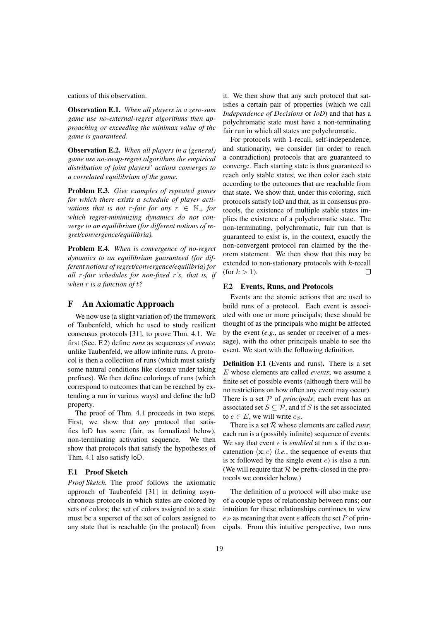cations of this observation.

Observation E.1. *When all players in a zero-sum game use no-external-regret algorithms then approaching or exceeding the minimax value of the game is guaranteed.*

Observation E.2. *When all players in a (general) game use no-swap-regret algorithms the empirical distribution of joint players' actions converges to a correlated equilibrium of the game.*

Problem E.3. *Give examples of repeated games for which there exists a schedule of player activations that is not r-fair for any*  $r \in \mathbb{N}_+$  *for which regret-minimizing dynamics do not converge to an equilibrium (for different notions of regret/convergence/equilibria).*

Problem E.4. *When is convergence of no-regret dynamics to an equilibrium guaranteed (for different notions of regret/convergence/equilibria) for all* r*-fair schedules for non-fixed* r*'s, that is, if when* r *is a function of* t*?*

## F An Axiomatic Approach

We now use (a slight variation of) the framework of Taubenfeld, which he used to study resilient consensus protocols [31], to prove Thm. 4.1. We first (Sec. F.2) define *runs* as sequences of *events*; unlike Taubenfeld, we allow infinite runs. A protocol is then a collection of runs (which must satisfy some natural conditions like closure under taking prefixes). We then define colorings of runs (which correspond to outcomes that can be reached by extending a run in various ways) and define the IoD property.

The proof of Thm. 4.1 proceeds in two steps. First, we show that *any* protocol that satisfies IoD has some (fair, as formalized below), non-terminating activation sequence. We then show that protocols that satisfy the hypotheses of Thm. 4.1 also satisfy IoD.

#### F.1 Proof Sketch

*Proof Sketch.* The proof follows the axiomatic approach of Taubenfeld [31] in defining asynchronous protocols in which states are colored by sets of colors; the set of colors assigned to a state must be a superset of the set of colors assigned to any state that is reachable (in the protocol) from it. We then show that any such protocol that satisfies a certain pair of properties (which we call *Independence of Decisions* or *IoD*) and that has a polychromatic state must have a non-terminating fair run in which all states are polychromatic.

For protocols with 1-recall, self-independence, and stationarity, we consider (in order to reach a contradiction) protocols that are guaranteed to converge. Each starting state is thus guaranteed to reach only stable states; we then color each state according to the outcomes that are reachable from that state. We show that, under this coloring, such protocols satisfy IoD and that, as in consensus protocols, the existence of multiple stable states implies the existence of a polychromatic state. The non-terminating, polychromatic, fair run that is guaranteed to exist is, in the context, exactly the non-convergent protocol run claimed by the theorem statement. We then show that this may be extended to non-stationary protocols with k-recall (for  $k > 1$ ).  $\Box$ 

### F.2 Events, Runs, and Protocols

Events are the atomic actions that are used to build runs of a protocol. Each event is associated with one or more principals; these should be thought of as the principals who might be affected by the event (*e.g.*, as sender or receiver of a message), with the other principals unable to see the event. We start with the following definition.

Definition F.1 (Events and runs). There is a set E whose elements are called *events*; we assume a finite set of possible events (although there will be no restrictions on how often any event may occur). There is a set P of *principals*; each event has an associated set  $S \subseteq \mathcal{P}$ , and if S is the set associated to  $e \in E$ , we will write  $e_S$ .

There is a set R whose elements are called *runs*; each run is a (possibly infinite) sequence of events. We say that event *e* is *enabled* at run x if the concatenation  $\langle x; e \rangle$  (*i.e.*, the sequence of events that is x followed by the single event  $e$ ) is also a run. (We will require that  $R$  be prefix-closed in the protocols we consider below.)

The definition of a protocol will also make use of a couple types of relationship between runs; our intuition for these relationships continues to view  $e_P$  as meaning that event e affects the set P of principals. From this intuitive perspective, two runs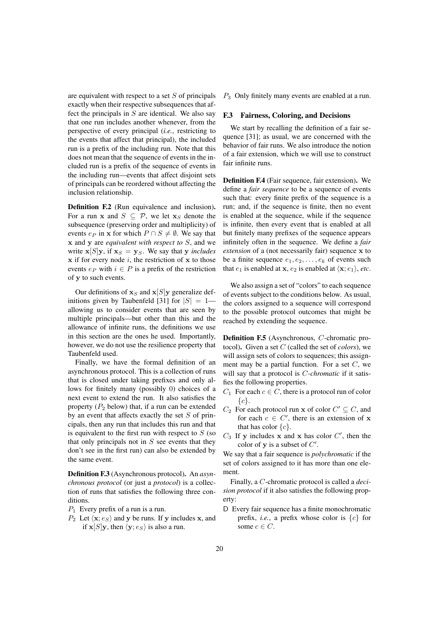are equivalent with respect to a set  $S$  of principals exactly when their respective subsequences that affect the principals in  $S$  are identical. We also say that one run includes another whenever, from the perspective of every principal (*i.e.*, restricting to the events that affect that principal), the included run is a prefix of the including run. Note that this does not mean that the sequence of events in the included run is a prefix of the sequence of events in the including run—events that affect disjoint sets of principals can be reordered without affecting the inclusion relationship.

Definition F.2 (Run equivalence and inclusion). For a run x and  $S \subseteq \mathcal{P}$ , we let  $\mathbf{x}_S$  denote the subsequence (preserving order and multiplicity) of events  $e_P$  in x for which  $P \cap S \neq \emptyset$ . We say that x and y are *equivalent with respect to* S, and we write  $\mathbf{x}[S] \mathbf{y}$ , if  $\mathbf{x}_S = \mathbf{y}_S$ . We say that y *includes*  $x$  if for every node i, the restriction of  $x$  to those events  $e_P$  with  $i \in P$  is a prefix of the restriction of y to such events.

Our definitions of  $x_S$  and  $x[S]y$  generalize definitions given by Taubenfeld [31] for  $|S| = 1$  allowing us to consider events that are seen by multiple principals—but other than this and the allowance of infinite runs, the definitions we use in this section are the ones he used. Importantly, however, we do not use the resilience property that Taubenfeld used.

Finally, we have the formal definition of an asynchronous protocol. This is a collection of runs that is closed under taking prefixes and only allows for finitely many (possibly 0) choices of a next event to extend the run. It also satisfies the property  $(P_2 \text{ below})$  that, if a run can be extended by an event that affects exactly the set  $S$  of principals, then any run that includes this run and that is equivalent to the first run with respect to  $S$  (so that only principals not in  $S$  see events that they don't see in the first run) can also be extended by the same event.

Definition F.3 (Asynchronous protocol). An *asynchronous protocol* (or just a *protocol*) is a collection of runs that satisfies the following three conditions.

- $P_1$  Every prefix of a run is a run.
- $P_2$  Let  $\langle \mathbf{x}; e_S \rangle$  and y be runs. If y includes x, and if  $\mathbf{x}[S]$ y, then  $\langle \mathbf{y}; e_S \rangle$  is also a run.

 $P_3$  Only finitely many events are enabled at a run.

## F.3 Fairness, Coloring, and Decisions

We start by recalling the definition of a fair sequence [31]; as usual, we are concerned with the behavior of fair runs. We also introduce the notion of a fair extension, which we will use to construct fair infinite runs.

Definition F.4 (Fair sequence, fair extension). We define a *fair sequence* to be a sequence of events such that: every finite prefix of the sequence is a run; and, if the sequence is finite, then no event is enabled at the sequence, while if the sequence is infinite, then every event that is enabled at all but finitely many prefixes of the sequence appears infinitely often in the sequence. We define a *fair extension* of a (not necessarily fair) sequence x to be a finite sequence  $e_1, e_2, \ldots, e_k$  of events such that  $e_1$  is enabled at **x**,  $e_2$  is enabled at  $\langle \mathbf{x}; e_1 \rangle$ , *etc*.

We also assign a set of "colors" to each sequence of events subject to the conditions below. As usual, the colors assigned to a sequence will correspond to the possible protocol outcomes that might be reached by extending the sequence.

Definition F.5 (Asynchronous, C-chromatic protocol). Given a set C (called the set of *colors*), we will assign sets of colors to sequences; this assignment may be a partial function. For a set  $C$ , we will say that a protocol is C*-chromatic* if it satisfies the following properties.

- $C_1$  For each  $c \in C$ , there is a protocol run of color  ${c}$ .
- $C_2$  For each protocol run x of color  $C' \subseteq C$ , and for each  $c \in C'$ , there is an extension of x that has color  $\{c\}$ .
- $C_3$  If y includes x and x has color  $C'$ , then the color of  $y$  is a subset of  $C'$ .

We say that a fair sequence is *polychromatic* if the set of colors assigned to it has more than one element.

Finally, a C-chromatic protocol is called a *decision protocol* if it also satisfies the following property:

D Every fair sequence has a finite monochromatic prefix, *i.e.*, a prefix whose color is  $\{c\}$  for some  $c \in C$ .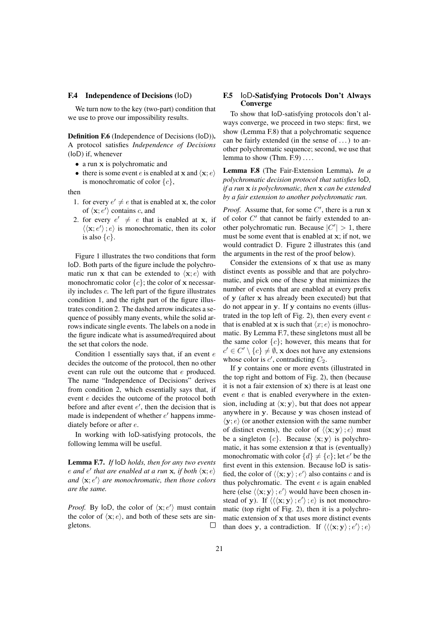## F.4 Independence of Decisions (IoD)

We turn now to the key (two-part) condition that we use to prove our impossibility results.

Definition F.6 (Independence of Decisions (IoD)). A protocol satisfies *Independence of Decisions* (IoD) if, whenever

- a run x is polychromatic and
- there is some event *e* is enabled at **x** and  $\langle \mathbf{x}; e \rangle$ is monochromatic of color  ${c}$ ,

then

- 1. for every  $e' \neq e$  that is enabled at **x**, the color of  $\langle x; e' \rangle$  contains c, and
- 2. for every  $e' \neq e$  that is enabled at **x**, if  $\langle \langle \mathbf{x}; e' \rangle; e \rangle$  is monochromatic, then its color is also  $\{c\}$ .

Figure 1 illustrates the two conditions that form IoD. Both parts of the figure include the polychromatic run x that can be extended to  $\langle x; e \rangle$  with monochromatic color  ${c}$ ; the color of x necessarily includes c. The left part of the figure illustrates condition 1, and the right part of the figure illustrates condition 2. The dashed arrow indicates a sequence of possibly many events, while the solid arrows indicate single events. The labels on a node in the figure indicate what is assumed/required about the set that colors the node.

Condition 1 essentially says that, if an event  $e$ decides the outcome of the protocol, then no other event can rule out the outcome that e produced. The name "Independence of Decisions" derives from condition 2, which essentially says that, if event e decides the outcome of the protocol both before and after event  $e'$ , then the decision that is made is independent of whether  $e'$  happens immediately before or after e.

In working with IoD-satisfying protocols, the following lemma will be useful.

Lemma F.7. *If* IoD *holds, then for any two events e* and *e'* that are enabled at a run **x**, if both  $\langle \mathbf{x}; e \rangle$ and  $\langle x; e' \rangle$  are monochromatic, then those colors *are the same.*

*Proof.* By loD, the color of  $\langle x; e' \rangle$  must contain the color of  $\langle x; e \rangle$ , and both of these sets are singletons.  $\Box$ 

## F.5 IoD-Satisfying Protocols Don't Always **Converge**

To show that IoD-satisfying protocols don't always converge, we proceed in two steps: first, we show (Lemma F.8) that a polychromatic sequence can be fairly extended (in the sense of . . . ) to another polychromatic sequence; second, we use that lemma to show (Thm.  $F.9$ ) ...

Lemma F.8 (The Fair-Extension Lemma). *In a polychromatic decision protocol that satisfies* IoD*, if a run* x *is polychromatic, then* x *can be extended by a fair extension to another polychromatic run.*

*Proof.* Assume that, for some  $C'$ , there is a run x of color  $C'$  that cannot be fairly extended to another polychromatic run. Because  $|C'| > 1$ , there must be some event that is enabled at x; if not, we would contradict D. Figure 2 illustrates this (and the arguments in the rest of the proof below).

Consider the extensions of x that use as many distinct events as possible and that are polychromatic, and pick one of these y that minimizes the number of events that are enabled at every prefix of y (after x has already been executed) but that do not appear in y. If y contains no events (illustrated in the top left of Fig. 2), then every event  $e$ that is enabled at x is such that  $\langle x; e \rangle$  is monochromatic. By Lemma F.7, these singletons must all be the same color  ${c}$ ; however, this means that for  $c' \in C' \setminus \{c\} \neq \emptyset$ , x does not have any extensions whose color is  $c'$ , contradicting  $C_2$ .

If y contains one or more events (illustrated in the top right and bottom of Fig. 2), then (because it is not a fair extension of x) there is at least one event e that is enabled everywhere in the extension, including at  $\langle x; y \rangle$ , but that does not appear anywhere in y. Because y was chosen instead of  $\langle y; e \rangle$  (or another extension with the same number of distinct events), the color of  $\langle\langle \mathbf{x}; \mathbf{y} \rangle : e \rangle$  must be a singleton  $\{c\}$ . Because  $\langle \mathbf{x}; \mathbf{y} \rangle$  is polychromatic, it has some extension z that is (eventually) monochromatic with color  $\{d\} \neq \{c\}$ ; let  $e'$  be the first event in this extension. Because IoD is satisfied, the color of  $\langle\langle \mathbf{x}; \mathbf{y} \rangle$ ;  $e' \rangle$  also contains c and is thus polychromatic. The event  $e$  is again enabled here (else  $\langle \langle \mathbf{x}; \mathbf{y} \rangle$ ;  $e' \rangle$  would have been chosen instead of y). If  $\langle \langle x; y \rangle : e' \rangle : e \rangle$  is not monochromatic (top right of Fig. 2), then it is a polychromatic extension of x that uses more distinct events than does y, a contradiction. If  $\langle\langle \mathbf{x}; \mathbf{y} \rangle; e' \rangle; e \rangle$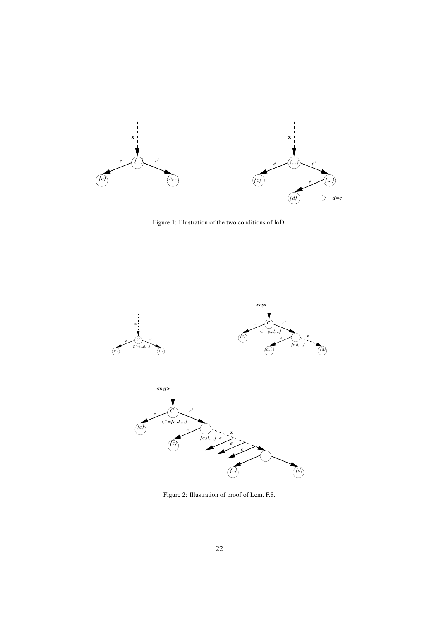

Figure 1: Illustration of the two conditions of IoD.



Figure 2: Illustration of proof of Lem. F.8.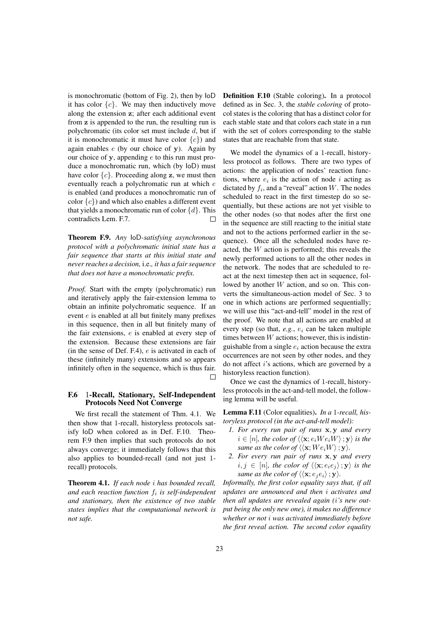is monochromatic (bottom of Fig. 2), then by IoD it has color  $\{c\}$ . We may then inductively move along the extension z; after each additional event from z is appended to the run, the resulting run is polychromatic (its color set must include d, but if it is monochromatic it must have color  ${c}$ ) and again enables  $e$  (by our choice of y). Again by our choice of y, appending  $e$  to this run must produce a monochromatic run, which (by IoD) must have color  $\{c\}$ . Proceeding along z, we must then eventually reach a polychromatic run at which e is enabled (and produces a monochromatic run of color  ${c}$ ) and which also enables a different event that yields a monochromatic run of color  $\{d\}$ . This contradicts Lem. F.7. П

Theorem F.9. *Any* IoD*-satisfying asynchronous protocol with a polychromatic initial state has a fair sequence that starts at this initial state and never reaches a decision,* i.e.*, it has a fair sequence that does not have a monochromatic prefix.*

*Proof.* Start with the empty (polychromatic) run and iteratively apply the fair-extension lemma to obtain an infinite polychromatic sequence. If an event e is enabled at all but finitely many prefixes in this sequence, then in all but finitely many of the fair extensions, e is enabled at every step of the extension. Because these extensions are fair (in the sense of Def.  $F.4$ ),  $e$  is activated in each of these (infinitely many) extensions and so appears infinitely often in the sequence, which is thus fair. П

## F.6 1-Recall, Stationary, Self-Independent Protocols Need Not Converge

We first recall the statement of Thm. 4.1. We then show that 1-recall, historyless protocols satisfy IoD when colored as in Def. F.10. Theorem F.9 then implies that such protocols do not always converge; it immediately follows that this also applies to bounded-recall (and not just 1 recall) protocols.

Theorem 4.1. *If each node* i *has bounded recall, and each reaction function* f<sup>i</sup> *is self-independent and stationary, then the existence of two stable states implies that the computational network is not safe.*

Definition F.10 (Stable coloring). In a protocol defined as in Sec. 3, the *stable coloring* of protocol states is the coloring that has a distinct color for each stable state and that colors each state in a run with the set of colors corresponding to the stable states that are reachable from that state.

We model the dynamics of a 1-recall, historyless protocol as follows. There are two types of actions: the application of nodes' reaction functions, where  $e_i$  is the action of node i acting as dictated by  $f_i$ , and a "reveal" action W. The nodes scheduled to react in the first timestep do so sequentially, but these actions are not yet visible to the other nodes (so that nodes after the first one in the sequence are still reacting to the initial state and not to the actions performed earlier in the sequence). Once all the scheduled nodes have reacted, the W action is performed; this reveals the newly performed actions to all the other nodes in the network. The nodes that are scheduled to react at the next timestep then act in sequence, followed by another W action, and so on. This converts the simultaneous-action model of Sec. 3 to one in which actions are performed sequentially; we will use this "act-and-tell" model in the rest of the proof. We note that all actions are enabled at every step (so that,  $e, g, e_i$  can be taken multiple times between  $W$  actions; however, this is indistinguishable from a single  $e_i$  action because the extra occurrences are not seen by other nodes, and they do not affect i's actions, which are governed by a historyless reaction function).

Once we cast the dynamics of 1-recall, historyless protocols in the act-and-tell model, the following lemma will be useful.

Lemma F.11 (Color equalities). *In a* 1*-recall, historyless protocol (in the act-and-tell model):*

- *1. For every run pair of runs* x, y *and every*  $i \in [n]$ , the color of  $\langle \langle \mathbf{x}; e_i W e_i W \rangle; \mathbf{y} \rangle$  is the *same as the color of*  $\langle\langle \mathbf{x}; W e_i W \rangle; \mathbf{y}\rangle$ .
- *2. For every run pair of runs* x, y *and every*  $i, j \in [n]$ , the color of  $\langle \langle \mathbf{x}; e_i e_j \rangle; \mathbf{y} \rangle$  is the *same as the color of*  $\langle \langle \mathbf{x}; e_i e_i \rangle; \mathbf{y} \rangle$ .

*Informally, the first color equality says that, if all updates are announced and then* i *activates and then all updates are revealed again (*i*'s new output being the only new one), it makes no difference whether or not* i *was activated immediately before the first reveal action. The second color equality*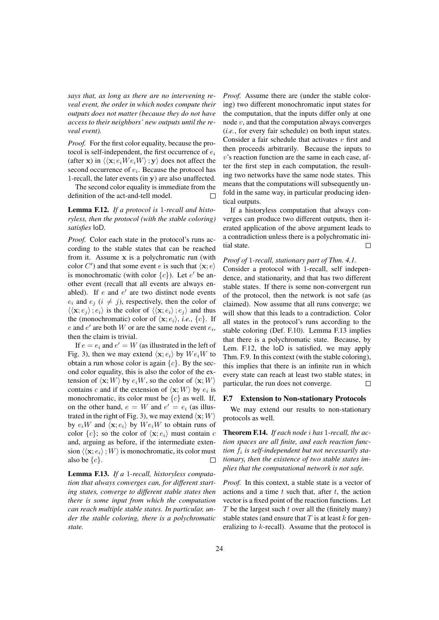*says that, as long as there are no intervening reveal event, the order in which nodes compute their outputs does not matter (because they do not have access to their neighbors' new outputs until the reveal event).*

*Proof.* For the first color equality, because the protocol is self-independent, the first occurrence of  $e_i$ (after x) in  $\langle \langle \mathbf{x}; e_iW e_iW \rangle; \mathbf{y} \rangle$  does not affect the second occurrence of  $e_i$ . Because the protocol has 1-recall, the later events (in y) are also unaffected.

The second color equality is immediate from the definition of the act-and-tell model.  $\Box$ 

## Lemma F.12. *If a protocol is* 1*-recall and historyless, then the protocol (with the stable coloring) satisfies* IoD*.*

*Proof.* Color each state in the protocol's runs according to the stable states that can be reached from it. Assume x is a polychromatic run (with color C') and that some event e is such that  $\langle x; e \rangle$ is monochromatic (with color  ${c}$ ). Let e' be another event (recall that all events are always enabled). If  $e$  and  $e'$  are two distinct node events  $e_i$  and  $e_j$  ( $i \neq j$ ), respectively, then the color of  $\langle \langle \mathbf{x}; e_i \rangle; e_i \rangle$  is the color of  $\langle \langle \mathbf{x}; e_i \rangle; e_i \rangle$  and thus the (monochromatic) color of  $\langle \mathbf{x}; e_i \rangle$ , *i.e.*,  $\{c\}$ . If  $e$  and  $e'$  are both  $W$  or are the same node event  $e_i$ , then the claim is trivial.

If  $e = e_i$  and  $e' = W$  (as illustrated in the left of Fig. 3), then we may extend  $\langle x; e_i \rangle$  by  $We_iW$  to obtain a run whose color is again  $\{c\}$ . By the second color equality, this is also the color of the extension of  $\langle \mathbf{x}; W \rangle$  by  $e_iW$ , so the color of  $\langle \mathbf{x}; W \rangle$ contains c and if the extension of  $\langle \mathbf{x}; W \rangle$  by  $e_i$  is monochromatic, its color must be  ${c}$  as well. If, on the other hand,  $e = W$  and  $e' = e_i$  (as illustrated in the right of Fig. 3), we may extend  $\langle \mathbf{x}; W \rangle$ by  $e_iW$  and  $\langle \mathbf{x}; e_i \rangle$  by  $We_iW$  to obtain runs of color  $\{c\}$ ; so the color of  $\langle \mathbf{x}; e_i \rangle$  must contain c and, arguing as before, if the intermediate extension  $\langle\langle \mathbf{x}; e_i\rangle; W\rangle$  is monochromatic, its color must also be  $\{c\}$ .  $\Box$ 

Lemma F.13. *If a* 1*-recall, historyless computation that always converges can, for different starting states, converge to different stable states then there is some input from which the computation can reach multiple stable states. In particular, under the stable coloring, there is a polychromatic state.*

*Proof.* Assume there are (under the stable coloring) two different monochromatic input states for the computation, that the inputs differ only at one node  $v$ , and that the computation always converges (*i.e.*, for every fair schedule) on both input states. Consider a fair schedule that activates  $v$  first and then proceeds arbitrarily. Because the inputs to  $v$ 's reaction function are the same in each case, after the first step in each computation, the resulting two networks have the same node states. This means that the computations will subsequently unfold in the same way, in particular producing identical outputs.

If a historyless computation that always converges can produce two different outputs, then iterated application of the above argument leads to a contradiction unless there is a polychromatic initial state.  $\Box$ 

# *Proof of* 1*-recall, stationary part of Thm. 4.1.*

Consider a protocol with 1-recall, self independence, and stationarity, and that has two different stable states. If there is some non-convergent run of the protocol, then the network is not safe (as claimed). Now assume that all runs converge; we will show that this leads to a contradiction. Color all states in the protocol's runs according to the stable coloring (Def. F.10). Lemma F.13 implies that there is a polychromatic state. Because, by Lem. F.12, the IoD is satisfied, we may apply Thm. F.9. In this context (with the stable coloring), this implies that there is an infinite run in which every state can reach at least two stable states; in particular, the run does not converge.  $\Box$ 

#### F.7 Extension to Non-stationary Protocols

We may extend our results to non-stationary protocols as well.

Theorem F.14. *If each node* i *has* 1*-recall, the action spaces are all finite, and each reaction func*tion  $f_i$  is self-independent but not necessarily sta*tionary, then the existence of two stable states implies that the computational network is not safe.*

*Proof.* In this context, a stable state is a vector of actions and a time  $t$  such that, after  $t$ , the action vector is a fixed point of the reaction functions. Let  $T$  be the largest such  $t$  over all the (finitely many) stable states (and ensure that  $T$  is at least  $k$  for generalizing to k-recall). Assume that the protocol is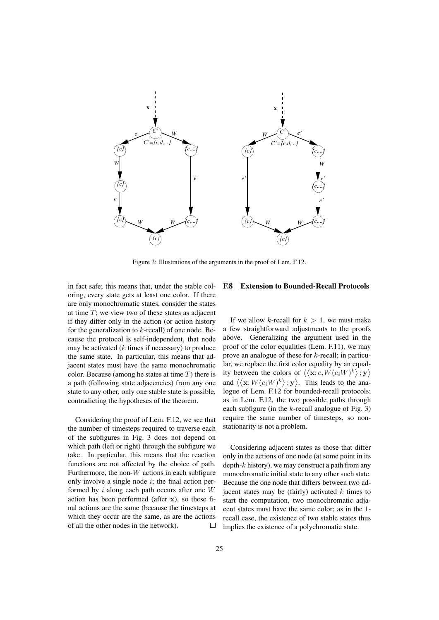

Figure 3: Illustrations of the arguments in the proof of Lem. F.12.

in fact safe; this means that, under the stable coloring, every state gets at least one color. If there are only monochromatic states, consider the states at time  $T$ ; we view two of these states as adjacent if they differ only in the action (or action history for the generalization to  $k$ -recall) of one node. Because the protocol is self-independent, that node may be activated  $(k \times k)$  in necessary) to produce the same state. In particular, this means that adjacent states must have the same monochromatic color. Because (among he states at time  $T$ ) there is a path (following state adjacencies) from any one state to any other, only one stable state is possible, contradicting the hypotheses of the theorem.

Considering the proof of Lem. F.12, we see that the number of timesteps required to traverse each of the subfigures in Fig. 3 does not depend on which path (left or right) through the subfigure we take. In particular, this means that the reaction functions are not affected by the choice of path. Furthermore, the non- $W$  actions in each subfigure only involve a single node  $i$ ; the final action performed by  $i$  along each path occurs after one  $W$ action has been performed (after x), so these final actions are the same (because the timesteps at which they occur are the same, as are the actions of all the other nodes in the network).  $\Box$ 

## F.8 Extension to Bounded-Recall Protocols

If we allow k-recall for  $k > 1$ , we must make a few straightforward adjustments to the proofs above. Generalizing the argument used in the proof of the color equalities (Lem. F.11), we may prove an analogue of these for k-recall; in particular, we replace the first color equality by an equality between the colors of  $\langle \langle \mathbf{x}; e_i W(e_i W)^k \rangle; \mathbf{y} \rangle$ and  $\langle \langle \mathbf{x}; W(e_iW)^k \rangle; \mathbf{y} \rangle$ . This leads to the analogue of Lem. F.12 for bounded-recall protocols; as in Lem. F.12, the two possible paths through each subfigure (in the  $k$ -recall analogue of Fig. 3) require the same number of timesteps, so nonstationarity is not a problem.

Considering adjacent states as those that differ only in the actions of one node (at some point in its depth- $k$  history), we may construct a path from any monochromatic initial state to any other such state. Because the one node that differs between two adjacent states may be (fairly) activated  $k$  times to start the computation, two monochromatic adjacent states must have the same color; as in the 1 recall case, the existence of two stable states thus implies the existence of a polychromatic state.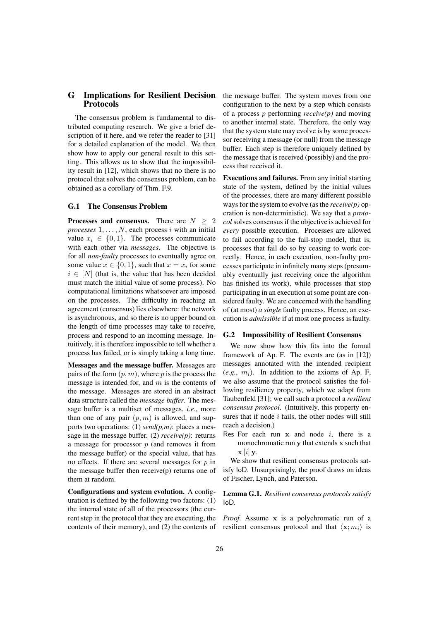# G Implications for Resilient Decision Protocols

The consensus problem is fundamental to distributed computing research. We give a brief description of it here, and we refer the reader to [31] for a detailed explanation of the model. We then show how to apply our general result to this setting. This allows us to show that the impossibility result in [12], which shows that no there is no protocol that solves the consensus problem, can be obtained as a corollary of Thm. F.9.

## G.1 The Consensus Problem

**Processes and consensus.** There are  $N \geq 2$  $processes$   $1, \ldots, N$ , each process  $i$  with an initial value  $x_i \in \{0, 1\}$ . The processes communicate with each other via *messages*. The objective is for all *non-faulty* processes to eventually agree on some value  $x \in \{0, 1\}$ , such that  $x = x_i$  for some  $i \in [N]$  (that is, the value that has been decided must match the initial value of some process). No computational limitations whatsoever are imposed on the processes. The difficulty in reaching an agreement (consensus) lies elsewhere: the network is asynchronous, and so there is no upper bound on the length of time processes may take to receive, process and respond to an incoming message. Intuitively, it is therefore impossible to tell whether a process has failed, or is simply taking a long time.

Messages and the message buffer. Messages are pairs of the form  $(p, m)$ , where p is the process the message is intended for, and  $m$  is the contents of the message. Messages are stored in an abstract data structure called the *message buffer*. The message buffer is a multiset of messages, *i.e.*, more than one of any pair  $(p, m)$  is allowed, and supports two operations: (1) *send(p,m)*: places a message in the message buffer. (2) *receive(p)*: returns a message for processor  $p$  (and removes it from the message buffer) or the special value, that has no effects. If there are several messages for  $p$  in the message buffer then receive(p) returns one of them at random.

Configurations and system evolution. A configuration is defined by the following two factors: (1) the internal state of all of the processors (the current step in the protocol that they are executing, the contents of their memory), and (2) the contents of the message buffer. The system moves from one configuration to the next by a step which consists of a process p performing *receive(p)* and moving to another internal state. Therefore, the only way that the system state may evolve is by some processor receiving a message (or null) from the message buffer. Each step is therefore uniquely defined by the message that is received (possibly) and the process that received it.

Executions and failures. From any initial starting state of the system, defined by the initial values of the processes, there are many different possible ways for the system to evolve (as the *receive(p)* operation is non-deterministic). We say that a *protocol* solves consensus if the objective is achieved for *every* possible execution. Processes are allowed to fail according to the fail-stop model, that is, processes that fail do so by ceasing to work correctly. Hence, in each execution, non-faulty processes participate in infinitely many steps (presumably eventually just receiving once the algorithm has finished its work), while processes that stop participating in an execution at some point are considered faulty. We are concerned with the handling of (at most) *a single* faulty process. Hence, an execution is *admissible* if at most one process is faulty.

#### G.2 Impossibility of Resilient Consensus

We now show how this fits into the formal framework of Ap. F. The events are (as in [12]) messages annotated with the intended recipient  $(e.g., m<sub>i</sub>)$ . In addition to the axioms of Ap. F, we also assume that the protocol satisfies the following resiliency property, which we adapt from Taubenfeld [31]; we call such a protocol a *resilient consensus protocol*. (Intuitively, this property ensures that if node  $i$  fails, the other nodes will still reach a decision.)

Res For each run  $x$  and node  $i$ , there is a monochromatic run y that extends x such that  $\mathbf{x}[i]$  y.

We show that resilient consensus protocols satisfy IoD. Unsurprisingly, the proof draws on ideas of Fischer, Lynch, and Paterson.

Lemma G.1. *Resilient consensus protocols satisfy* IoD*.*

*Proof.* Assume x is a polychromatic run of a resilient consensus protocol and that  $\langle \mathbf{x}; m_i \rangle$  is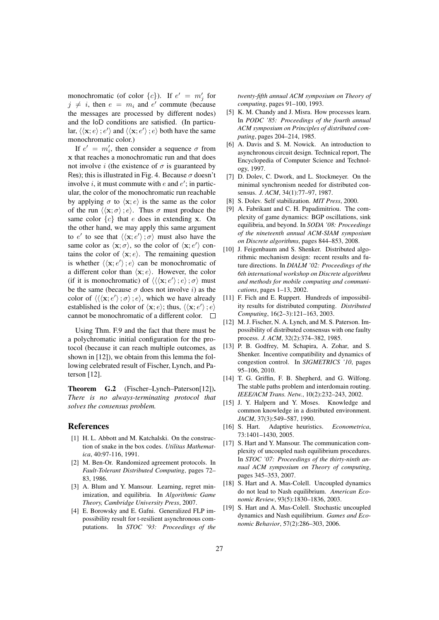monochromatic (of color  $\{c\}$ ). If  $e' = m'_j$  for  $j \neq i$ , then  $e = m_i$  and  $e'$  commute (because the messages are processed by different nodes) and the IoD conditions are satisfied. (In particular,  $\langle \langle \mathbf{x}; e \rangle; e' \rangle$  and  $\langle \langle \mathbf{x}; e' \rangle; e \rangle$  both have the same monochromatic color.)

If  $e' = m'_i$ , then consider a sequence  $\sigma$  from x that reaches a monochromatic run and that does not involve i (the existence of  $\sigma$  is guaranteed by Res); this is illustrated in Fig. 4. Because  $\sigma$  doesn't involve *i*, it must commute with  $e$  and  $e'$ ; in particular, the color of the monochromatic run reachable by applying  $\sigma$  to  $\langle x; e \rangle$  is the same as the color of the run  $\langle \langle \mathbf{x}; \sigma \rangle : e \rangle$ . Thus  $\sigma$  must produce the same color  ${c}$  that e does in extending x. On the other hand, we may apply this same argument to e' to see that  $\langle\langle \mathbf{x}; e'\rangle; \sigma\rangle$  must also have the same color as  $\langle x; \sigma \rangle$ , so the color of  $\langle x; e' \rangle$  contains the color of  $\langle x; e \rangle$ . The remaining question is whether  $\langle \langle \mathbf{x}; e' \rangle; e \rangle$  can be monochromatic of a different color than  $\langle x; e \rangle$ . However, the color (if it is monochromatic) of  $\langle\langle\langle \mathbf{x}; e'\rangle; e\rangle; \sigma\rangle$  must be the same (because  $\sigma$  does not involve *i*) as the color of  $\langle \langle \langle \mathbf{x}; e' \rangle; \sigma \rangle; e \rangle$ , which we have already established is the color of  $\langle \mathbf{x}; e \rangle$ ; thus,  $\langle \langle \mathbf{x}; e' \rangle; e \rangle$ cannot be monochromatic of a different color.  $\overline{a}$ 

Using Thm. F.9 and the fact that there must be a polychromatic initial configuration for the protocol (because it can reach multiple outcomes, as shown in [12]), we obtain from this lemma the following celebrated result of Fischer, Lynch, and Paterson [12].

Theorem G.2 (Fischer–Lynch–Paterson[12]). *There is no always-terminating protocol that solves the consensus problem.*

## References

- [1] H. L. Abbott and M. Katchalski. On the construction of snake in the box codes. *Utilitas Mathematica*, 40:97-116, 1991.
- [2] M. Ben-Or. Randomized agreement protocols. In *Fault-Tolerant Distributed Computing*, pages 72– 83, 1986.
- [3] A. Blum and Y. Mansour. Learning, regret minimization, and equilibria. In *Algorithmic Game Theory, Cambridge University Press*, 2007.
- [4] E. Borowsky and E. Gafni. Generalized FLP impossibility result for t-resilient asynchronous computations. In *STOC '93: Proceedings of the*

*twenty-fifth annual ACM symposium on Theory of computing*, pages 91–100, 1993.

- [5] K. M. Chandy and J. Misra. How processes learn. In *PODC '85: Proceedings of the fourth annual ACM symposium on Principles of distributed computing*, pages 204–214, 1985.
- [6] A. Davis and S. M. Nowick. An introduction to asynchronous circuit design. Technical report, The Encyclopedia of Computer Science and Technology, 1997.
- [7] D. Dolev, C. Dwork, and L. Stockmeyer. On the minimal synchronism needed for distributed consensus. *J. ACM*, 34(1):77–97, 1987.
- [8] S. Dolev. Self stabilization. *MIT Press*, 2000.
- [9] A. Fabrikant and C. H. Papadimitriou. The complexity of game dynamics: BGP oscillations, sink equilibria, and beyond. In *SODA '08: Proceedings of the nineteenth annual ACM-SIAM symposium on Discrete algorithms*, pages 844–853, 2008.
- [10] J. Feigenbaum and S. Shenker. Distributed algorithmic mechanism design: recent results and future directions. In *DIALM '02: Proceedings of the 6th international workshop on Discrete algorithms and methods for mobile computing and communications*, pages 1–13, 2002.
- [11] F. Fich and E. Ruppert. Hundreds of impossibility results for distributed computing. *Distributed Computing*, 16(2–3):121–163, 2003.
- [12] M. J. Fischer, N. A. Lynch, and M. S. Paterson. Impossibility of distributed consensus with one faulty process. *J. ACM*, 32(2):374–382, 1985.
- [13] P. B. Godfrey, M. Schapira, A. Zohar, and S. Shenker. Incentive compatibility and dynamics of congestion control. In *SIGMETRICS '10*, pages 95–106, 2010.
- [14] T. G. Griffin, F. B. Shepherd, and G. Wilfong. The stable paths problem and interdomain routing. *IEEE/ACM Trans. Netw.*, 10(2):232–243, 2002.
- [15] J. Y. Halpern and Y. Moses. Knowledge and common knowledge in a distributed environment. *JACM*, 37(3):549–587, 1990.
- [16] S. Hart. Adaptive heuristics. *Econometrica*, 73:1401–1430, 2005.
- [17] S. Hart and Y. Mansour. The communication complexity of uncoupled nash equilibrium procedures. In *STOC '07: Proceedings of the thirty-ninth annual ACM symposium on Theory of computing*, pages 345–353, 2007.
- [18] S. Hart and A. Mas-Colell. Uncoupled dynamics do not lead to Nash equilibrium. *American Economic Review*, 93(5):1830–1836, 2003.
- [19] S. Hart and A. Mas-Colell. Stochastic uncoupled dynamics and Nash equilibrium. *Games and Economic Behavior*, 57(2):286–303, 2006.